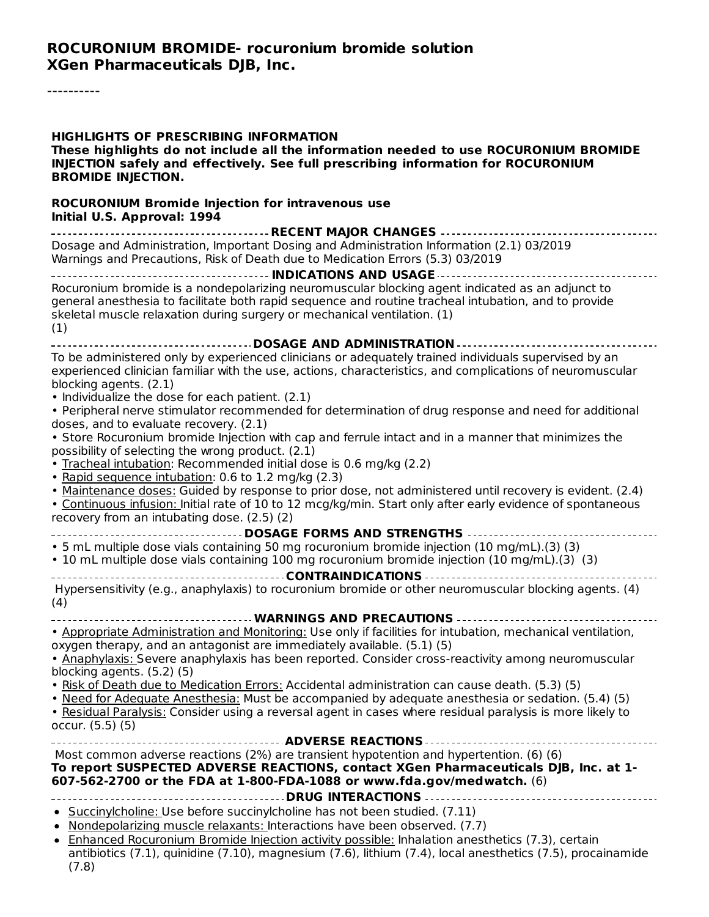### **ROCURONIUM BROMIDE- rocuronium bromide solution XGen Pharmaceuticals DJB, Inc.**

----------

| <b>HIGHLIGHTS OF PRESCRIBING INFORMATION</b><br>These highlights do not include all the information needed to use ROCURONIUM BROMIDE<br>INJECTION safely and effectively. See full prescribing information for ROCURONIUM<br><b>BROMIDE INJECTION.</b>                                                                                                                              |
|-------------------------------------------------------------------------------------------------------------------------------------------------------------------------------------------------------------------------------------------------------------------------------------------------------------------------------------------------------------------------------------|
| <b>ROCURONIUM Bromide Injection for intravenous use</b><br>Initial U.S. Approval: 1994                                                                                                                                                                                                                                                                                              |
|                                                                                                                                                                                                                                                                                                                                                                                     |
| Dosage and Administration, Important Dosing and Administration Information (2.1) 03/2019<br>Warnings and Precautions, Risk of Death due to Medication Errors (5.3) 03/2019                                                                                                                                                                                                          |
| Rocuronium bromide is a nondepolarizing neuromuscular blocking agent indicated as an adjunct to<br>general anesthesia to facilitate both rapid sequence and routine tracheal intubation, and to provide<br>skeletal muscle relaxation during surgery or mechanical ventilation. (1)<br>(1)                                                                                          |
| ---------------------------------- DOSAGE AND ADMINISTRATION ----------------------------                                                                                                                                                                                                                                                                                           |
| To be administered only by experienced clinicians or adequately trained individuals supervised by an<br>experienced clinician familiar with the use, actions, characteristics, and complications of neuromuscular<br>blocking agents. (2.1)<br>• Individualize the dose for each patient. (2.1)                                                                                     |
| • Peripheral nerve stimulator recommended for determination of drug response and need for additional<br>doses, and to evaluate recovery. (2.1)                                                                                                                                                                                                                                      |
| • Store Rocuronium bromide Injection with cap and ferrule intact and in a manner that minimizes the<br>possibility of selecting the wrong product. (2.1)<br>. Tracheal intubation: Recommended initial dose is 0.6 mg/kg (2.2)                                                                                                                                                      |
| • Rapid sequence intubation: 0.6 to 1.2 mg/kg (2.3)<br>. Maintenance doses: Guided by response to prior dose, not administered until recovery is evident. (2.4)<br>· Continuous infusion: Initial rate of 10 to 12 mcg/kg/min. Start only after early evidence of spontaneous<br>recovery from an intubating dose. (2.5) (2)                                                        |
| ---------------------------------- DOSAGE FORMS AND STRENGTHS --------------------------------                                                                                                                                                                                                                                                                                      |
| • 5 mL multiple dose vials containing 50 mg rocuronium bromide injection (10 mg/mL).(3) (3)<br>• 10 mL multiple dose vials containing 100 mg rocuronium bromide injection (10 mg/mL).(3) (3)                                                                                                                                                                                        |
| Hypersensitivity (e.g., anaphylaxis) to rocuronium bromide or other neuromuscular blocking agents. (4)<br>(4)                                                                                                                                                                                                                                                                       |
| WARNINGS AND PRECAUTIONS                                                                                                                                                                                                                                                                                                                                                            |
| . Appropriate Administration and Monitoring: Use only if facilities for intubation, mechanical ventilation,<br>oxygen therapy, and an antagonist are immediately available. (5.1) (5)                                                                                                                                                                                               |
| . Anaphylaxis: Severe anaphylaxis has been reported. Consider cross-reactivity among neuromuscular<br>blocking agents. (5.2) (5)<br>. Risk of Death due to Medication Errors: Accidental administration can cause death. (5.3) (5)                                                                                                                                                  |
| . Need for Adequate Anesthesia: Must be accompanied by adequate anesthesia or sedation. (5.4) (5)<br>. Residual Paralysis: Consider using a reversal agent in cases where residual paralysis is more likely to<br>occur. (5.5) (5)                                                                                                                                                  |
|                                                                                                                                                                                                                                                                                                                                                                                     |
| Most common adverse reactions (2%) are transient hypotention and hypertention. (6) (6)<br>To report SUSPECTED ADVERSE REACTIONS, contact XGen Pharmaceuticals DJB, Inc. at 1-<br>607-562-2700 or the FDA at 1-800-FDA-1088 or www.fda.gov/medwatch. (6)                                                                                                                             |
|                                                                                                                                                                                                                                                                                                                                                                                     |
| • Succinylcholine: Use before succinylcholine has not been studied. (7.11)<br>. Nondepolarizing muscle relaxants: Interactions have been observed. (7.7)<br>• Enhanced Rocuronium Bromide Injection activity possible: Inhalation anesthetics (7.3), certain<br>antibiotics (7.1), quinidine (7.10), magnesium (7.6), lithium (7.4), local anesthetics (7.5), procainamide<br>(7.8) |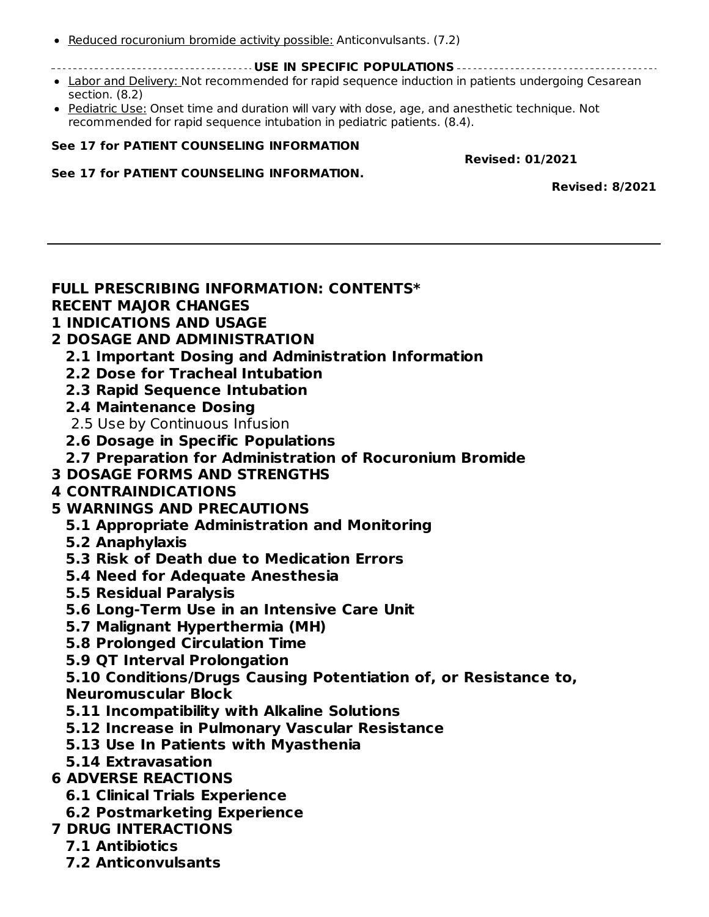- Reduced rocuronium bromide activity possible: Anticonvulsants. (7.2)
	- **USE IN SPECIFIC POPULATIONS**
- Labor and Delivery: Not recommended for rapid sequence induction in patients undergoing Cesarean section. (8.2)
- Pediatric Use: Onset time and duration will vary with dose, age, and anesthetic technique. Not recommended for rapid sequence intubation in pediatric patients. (8.4).

#### **See 17 for PATIENT COUNSELING INFORMATION**

**Revised: 01/2021**

#### **See 17 for PATIENT COUNSELING INFORMATION.**

**Revised: 8/2021**

# **FULL PRESCRIBING INFORMATION: CONTENTS\* RECENT MAJOR CHANGES**

# **1 INDICATIONS AND USAGE**

- **2 DOSAGE AND ADMINISTRATION**
	- **2.1 Important Dosing and Administration Information**
	- **2.2 Dose for Tracheal Intubation**
	- **2.3 Rapid Sequence Intubation**
	- **2.4 Maintenance Dosing**
	- 2.5 Use by Continuous Infusion
	- **2.6 Dosage in Specific Populations**
- **2.7 Preparation for Administration of Rocuronium Bromide**
- **3 DOSAGE FORMS AND STRENGTHS**

### **4 CONTRAINDICATIONS**

- **5 WARNINGS AND PRECAUTIONS**
	- **5.1 Appropriate Administration and Monitoring**
	- **5.2 Anaphylaxis**
	- **5.3 Risk of Death due to Medication Errors**
	- **5.4 Need for Adequate Anesthesia**
	- **5.5 Residual Paralysis**
	- **5.6 Long-Term Use in an Intensive Care Unit**
	- **5.7 Malignant Hyperthermia (MH)**
	- **5.8 Prolonged Circulation Time**
	- **5.9 QT Interval Prolongation**

**5.10 Conditions/Drugs Causing Potentiation of, or Resistance to, Neuromuscular Block**

- **5.11 Incompatibility with Alkaline Solutions**
- **5.12 Increase in Pulmonary Vascular Resistance**
- **5.13 Use In Patients with Myasthenia**
- **5.14 Extravasation**

### **6 ADVERSE REACTIONS**

- **6.1 Clinical Trials Experience**
- **6.2 Postmarketing Experience**
- **7 DRUG INTERACTIONS**
	- **7.1 Antibiotics**
	- **7.2 Anticonvulsants**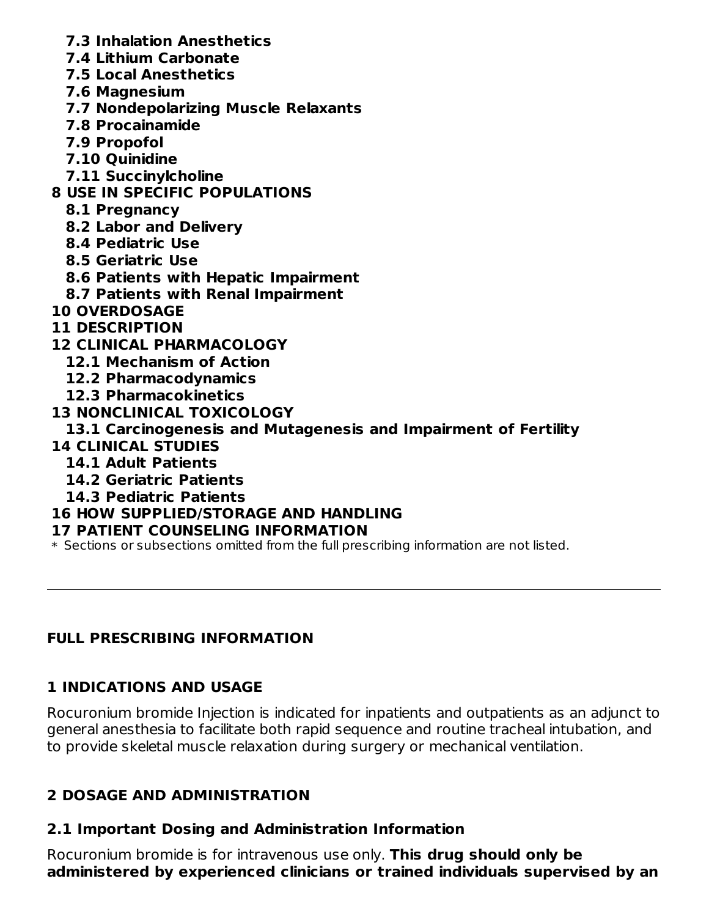- **7.3 Inhalation Anesthetics**
- **7.4 Lithium Carbonate**
- **7.5 Local Anesthetics**
- **7.6 Magnesium**
- **7.7 Nondepolarizing Muscle Relaxants**
- **7.8 Procainamide**
- **7.9 Propofol**
- **7.10 Quinidine**
- **7.11 Succinylcholine**

# **8 USE IN SPECIFIC POPULATIONS**

- **8.1 Pregnancy**
- **8.2 Labor and Delivery**
- **8.4 Pediatric Use**
- **8.5 Geriatric Use**
- **8.6 Patients with Hepatic Impairment**
- **8.7 Patients with Renal Impairment**
- **10 OVERDOSAGE**
- **11 DESCRIPTION**
- **12 CLINICAL PHARMACOLOGY**
	- **12.1 Mechanism of Action**
	- **12.2 Pharmacodynamics**
	- **12.3 Pharmacokinetics**
- **13 NONCLINICAL TOXICOLOGY**
	- **13.1 Carcinogenesis and Mutagenesis and Impairment of Fertility**
- **14 CLINICAL STUDIES**
	- **14.1 Adult Patients**
	- **14.2 Geriatric Patients**
	- **14.3 Pediatric Patients**

### **16 HOW SUPPLIED/STORAGE AND HANDLING**

### **17 PATIENT COUNSELING INFORMATION**

\* Sections or subsections omitted from the full prescribing information are not listed.

### **FULL PRESCRIBING INFORMATION**

# **1 INDICATIONS AND USAGE**

Rocuronium bromide Injection is indicated for inpatients and outpatients as an adjunct to general anesthesia to facilitate both rapid sequence and routine tracheal intubation, and to provide skeletal muscle relaxation during surgery or mechanical ventilation.

# **2 DOSAGE AND ADMINISTRATION**

# **2.1 Important Dosing and Administration Information**

Rocuronium bromide is for intravenous use only. **This drug should only be administered by experienced clinicians or trained individuals supervised by an**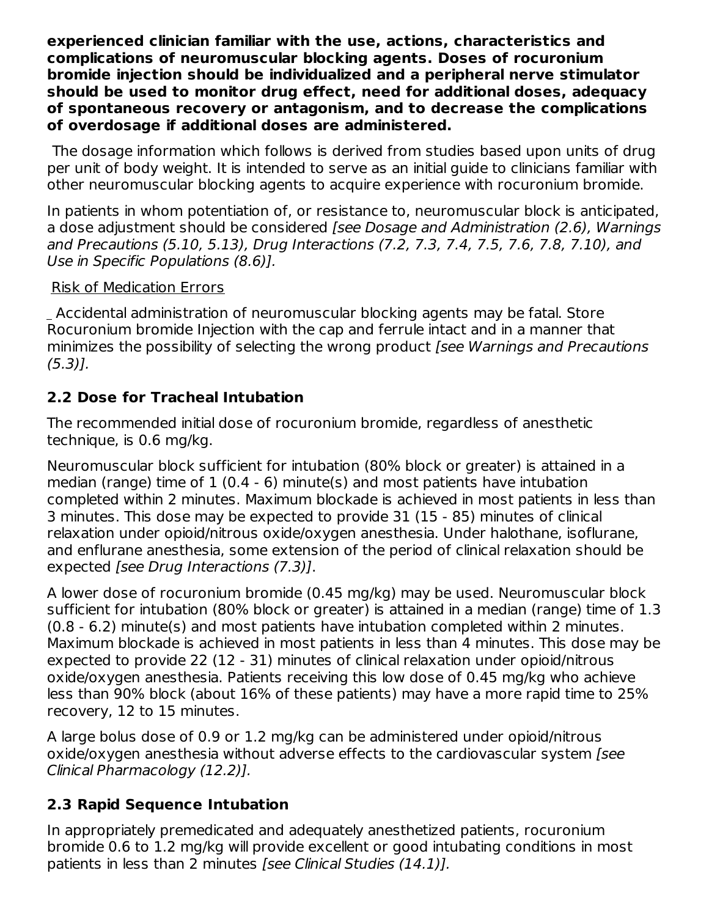**experienced clinician familiar with the use, actions, characteristics and complications of neuromuscular blocking agents. Doses of rocuronium bromide injection should be individualized and a peripheral nerve stimulator should be used to monitor drug effect, need for additional doses, adequacy of spontaneous recovery or antagonism, and to decrease the complications of overdosage if additional doses are administered.**

The dosage information which follows is derived from studies based upon units of drug per unit of body weight. It is intended to serve as an initial guide to clinicians familiar with other neuromuscular blocking agents to acquire experience with rocuronium bromide.

In patients in whom potentiation of, or resistance to, neuromuscular block is anticipated, a dose adjustment should be considered *[see Dosage and Administration (2.6)*, Warnings and Precautions (5.10, 5.13), Drug Interactions (7.2, 7.3, 7.4, 7.5, 7.6, 7.8, 7.10), and Use in Specific Populations (8.6)].

### Risk of Medication Errors

Accidental administration of neuromuscular blocking agents may be fatal. Store Rocuronium bromide Injection with the cap and ferrule intact and in a manner that minimizes the possibility of selecting the wrong product [see Warnings and Precautions (5.3)].

# **2.2 Dose for Tracheal Intubation**

The recommended initial dose of rocuronium bromide, regardless of anesthetic technique, is 0.6 mg/kg.

Neuromuscular block sufficient for intubation (80% block or greater) is attained in a median (range) time of 1 (0.4 - 6) minute(s) and most patients have intubation completed within 2 minutes. Maximum blockade is achieved in most patients in less than 3 minutes. This dose may be expected to provide 31 (15 - 85) minutes of clinical relaxation under opioid/nitrous oxide/oxygen anesthesia. Under halothane, isoflurane, and enflurane anesthesia, some extension of the period of clinical relaxation should be expected [see Drug Interactions (7.3)].

A lower dose of rocuronium bromide (0.45 mg/kg) may be used. Neuromuscular block sufficient for intubation (80% block or greater) is attained in a median (range) time of 1.3 (0.8 - 6.2) minute(s) and most patients have intubation completed within 2 minutes. Maximum blockade is achieved in most patients in less than 4 minutes. This dose may be expected to provide 22 (12 - 31) minutes of clinical relaxation under opioid/nitrous oxide/oxygen anesthesia. Patients receiving this low dose of 0.45 mg/kg who achieve less than 90% block (about 16% of these patients) may have a more rapid time to 25% recovery, 12 to 15 minutes.

A large bolus dose of 0.9 or 1.2 mg/kg can be administered under opioid/nitrous oxide/oxygen anesthesia without adverse effects to the cardiovascular system [see Clinical Pharmacology (12.2)].

# **2.3 Rapid Sequence Intubation**

In appropriately premedicated and adequately anesthetized patients, rocuronium bromide 0.6 to 1.2 mg/kg will provide excellent or good intubating conditions in most patients in less than 2 minutes [see Clinical Studies (14.1)].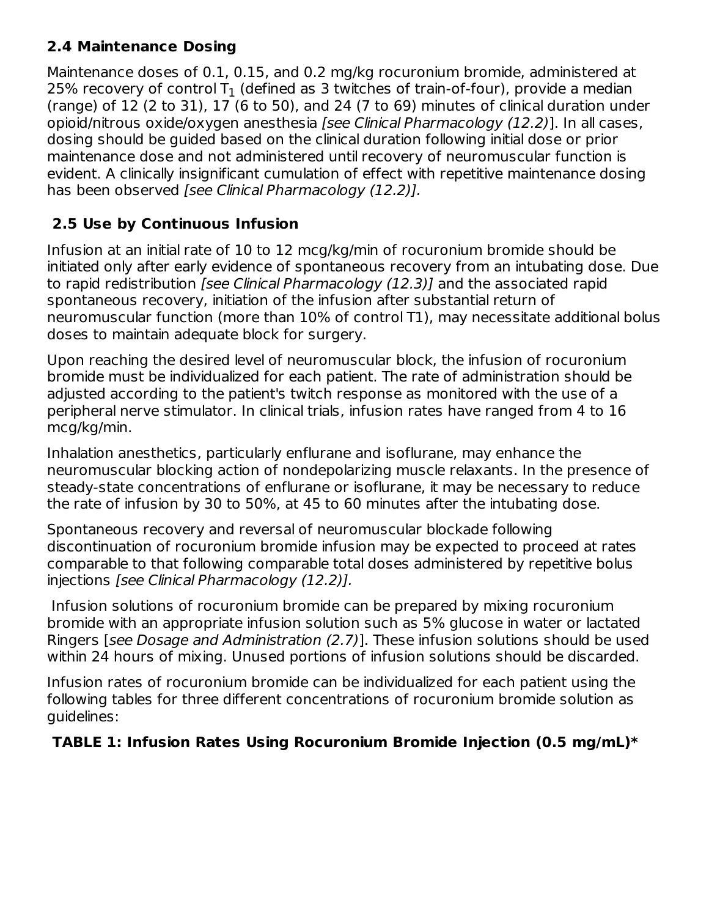# **2.4 Maintenance Dosing**

Maintenance doses of 0.1, 0.15, and 0.2 mg/kg rocuronium bromide, administered at 25% recovery of control T $_{\rm 1}$  (defined as 3 twitches of train-of-four), provide a median (range) of 12 (2 to 31), 17 (6 to 50), and 24 (7 to 69) minutes of clinical duration under opioid/nitrous oxide/oxygen anesthesia [see Clinical Pharmacology (12.2)]. In all cases, dosing should be guided based on the clinical duration following initial dose or prior maintenance dose and not administered until recovery of neuromuscular function is evident. A clinically insignificant cumulation of effect with repetitive maintenance dosing has been observed [see Clinical Pharmacology (12.2)].

# **2.5 Use by Continuous Infusion**

Infusion at an initial rate of 10 to 12 mcg/kg/min of rocuronium bromide should be initiated only after early evidence of spontaneous recovery from an intubating dose. Due to rapid redistribution *[see Clinical Pharmacology (12.3)]* and the associated rapid spontaneous recovery, initiation of the infusion after substantial return of neuromuscular function (more than 10% of control T1), may necessitate additional bolus doses to maintain adequate block for surgery.

Upon reaching the desired level of neuromuscular block, the infusion of rocuronium bromide must be individualized for each patient. The rate of administration should be adjusted according to the patient's twitch response as monitored with the use of a peripheral nerve stimulator. In clinical trials, infusion rates have ranged from 4 to 16 mcg/kg/min.

Inhalation anesthetics, particularly enflurane and isoflurane, may enhance the neuromuscular blocking action of nondepolarizing muscle relaxants. In the presence of steady-state concentrations of enflurane or isoflurane, it may be necessary to reduce the rate of infusion by 30 to 50%, at 45 to 60 minutes after the intubating dose.

Spontaneous recovery and reversal of neuromuscular blockade following discontinuation of rocuronium bromide infusion may be expected to proceed at rates comparable to that following comparable total doses administered by repetitive bolus injections [see Clinical Pharmacology (12.2)].

Infusion solutions of rocuronium bromide can be prepared by mixing rocuronium bromide with an appropriate infusion solution such as 5% glucose in water or lactated Ringers [see Dosage and Administration (2.7)]. These infusion solutions should be used within 24 hours of mixing. Unused portions of infusion solutions should be discarded.

Infusion rates of rocuronium bromide can be individualized for each patient using the following tables for three different concentrations of rocuronium bromide solution as guidelines:

# **TABLE 1: Infusion Rates Using Rocuronium Bromide Injection (0.5 mg/mL)\***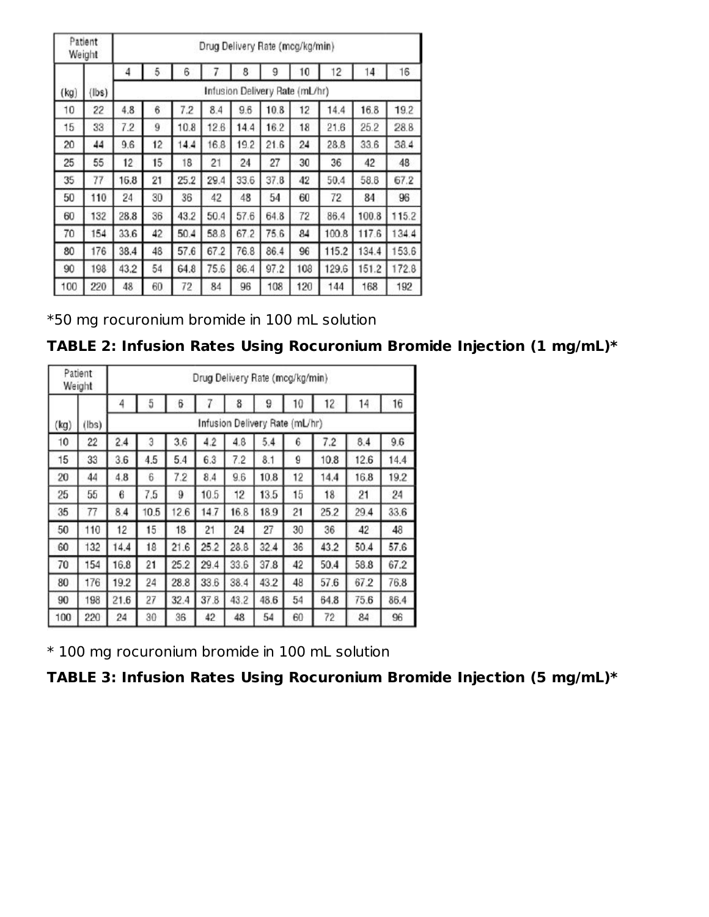|      | Patient<br>Weight |      |    |      |      |      | Drug Delivery Rate (mcg/kg/min) |     |       |       |       |
|------|-------------------|------|----|------|------|------|---------------------------------|-----|-------|-------|-------|
|      |                   | 4    | 5  | 6    |      | 8    | 9                               | 10  | 12    | 14    | 16    |
| (kg) | lbs)              |      |    |      |      |      | Infusion Delivery Rate (mL/hr)  |     |       |       |       |
| 10   | 22                | 4,8  | 6  | 7.2  | 8.4  | 9.6  | 10.8                            | 12  | 14.4  | 16.8  | 19.2  |
| 15   | 33                | 7.2  | 9  | 10.8 | 12.6 | 14.4 | 16.2                            | 18  | 21.6  | 25.2  | 28.8  |
| 20   | 44                | 9.6  | 12 | 14.4 | 16.8 | 19.2 | 21.6                            | 24  | 28.8  | 33.6  | 38.4  |
| 25   | 55                | 12   | 15 | 18   | 21   | 24   | 27                              | 30  | 36    | 42    | 48    |
| 35   | 77                | 16.8 | 21 | 25.2 | 29.4 | 33.6 | 37.8                            | 42  | 50.4  | 58.8  | 67.2  |
| 50   | 110               | 24   | 30 | 36   | 42   | 48   | 54                              | 60  | 72    | 84    | 96    |
| 60   | 132               | 28.8 | 36 | 43.2 | 50.4 | 57.6 | 64.8                            | 72  | 86.4  | 100.8 | 115.2 |
| 70   | 154               | 33.6 | 42 | 50.4 | 58.8 | 67.2 | 75.6                            | 84  | 100.8 | 117.6 | 134.4 |
| 80   | 176               | 38.4 | 48 | 57.6 | 67.2 | 76.8 | 86.4                            | 96  | 115.2 | 134.4 | 153.6 |
| 90   | 198               | 43.2 | 54 | 64.8 | 75.6 | 86.4 | 97.2                            | 108 | 129.6 | 151.2 | 172.8 |
| 100  | 220               | 48   | 60 | 72   | 84   | 96   | 108                             | 120 | 144   | 168   | 192   |

\*50 mg rocuronium bromide in 100 mL solution

### **TABLE 2: Infusion Rates Using Rocuronium Bromide Injection (1 mg/mL)\***

|      | Patient<br>Weight | Drug Delivery Rate (mcg/kg/min) |      |      |      |      |                                |    |      |      |      |
|------|-------------------|---------------------------------|------|------|------|------|--------------------------------|----|------|------|------|
|      |                   | 4                               | 5    | 6    |      | 8    | 9                              | 10 | 12   | 14   | 16   |
| (kg) | (lbs)             |                                 |      |      |      |      | Infusion Delivery Rate (mL/hr) |    |      |      |      |
| 10   | 22                | 2.4                             | Э    | 3.6  | 4.2  | 4.8  | 5.4                            | 6  | 7.2  | 8.4  | 9.6  |
| 15   | 33                | 3.6                             | 4.5  | 5.4  | 6.3  | 7.2  | 8.1                            | 9  | 10.8 | 12.6 | 14.4 |
| 20   | 44                | 4.8                             | 6    | 7.2  | 8.4  | 9.6  | 10.8                           | 12 | 14.4 | 16.8 | 19.2 |
| 25   | 55                | 6                               | 7.5  | 9    | 10.5 | 12   | 13.5                           | 15 | 18   | 21   | 24   |
| 35   | 77                | 84                              | 10.5 | 12.6 | 14.7 | 16.8 | 189                            | 21 | 25.2 | 29.4 | 33.6 |
| 50   | 110               | 12                              | 15   | 18   | 21   | 24   | 27                             | 30 | 36   | 42   | 48   |
| 60   | 132               | 14.4                            | 18   | 21.6 | 25.2 | 28.8 | 32.4                           | 36 | 43.2 | 50.4 | 57.6 |
| 70   | 154               | 16.8                            | 21   | 25.2 | 29.4 | 33.6 | 37.8                           | 42 | 50.4 | 58.8 | 67.2 |
| 80   | 176               | 19.2                            | 24   | 28.8 | 33.6 | 38.4 | 43.2                           | 48 | 57.6 | 67.2 | 76.8 |
| 90   | 198               | 21.6                            | 27   | 32.4 | 37.8 | 43.2 | 48.6                           | 54 | 64.8 | 75.6 | 86.4 |
| 100  | 220               | 24                              | 30   | 36   | 42   | 48   | 54                             | 60 | 72   | 84   | 96   |

\* 100 mg rocuronium bromide in 100 mL solution

**TABLE 3: Infusion Rates Using Rocuronium Bromide Injection (5 mg/mL)\***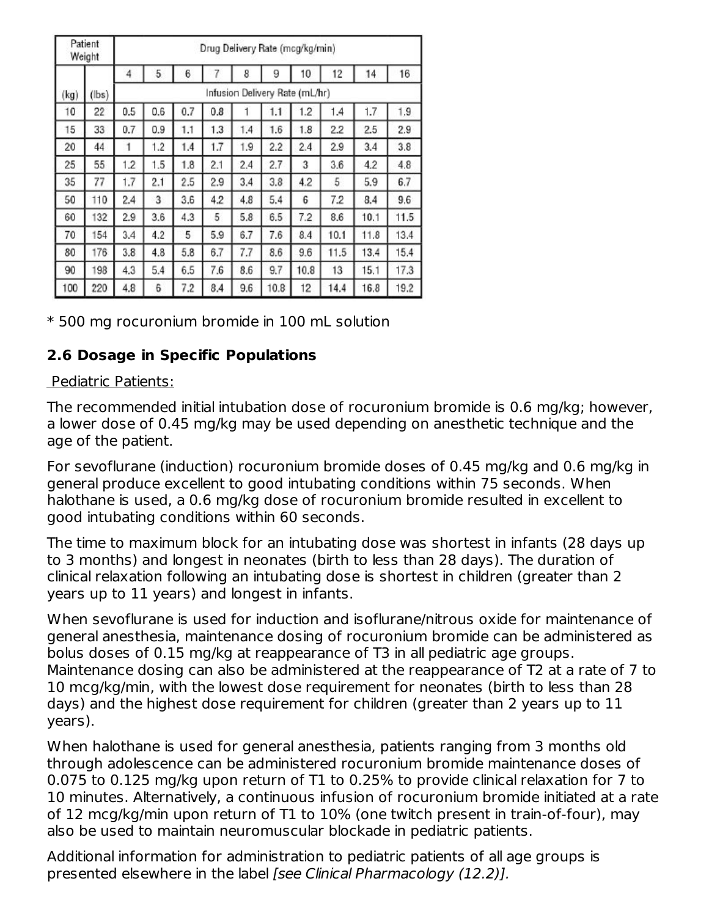|      | Patient<br>Weight |     |     |     |     |     | Drug Delivery Rate (mcg/kg/min) |      |      |      |      |
|------|-------------------|-----|-----|-----|-----|-----|---------------------------------|------|------|------|------|
|      |                   | 4   | 5   | 6   | 7   | 8   | 9                               | 10   | 12   | 14   | 16   |
| (kg) | $(\text{lbs})$    |     |     |     |     |     | Infusion Delivery Rate (mL/hr)  |      |      |      |      |
| 10   | 22                | 0.5 | 0.6 | 0.7 | 0.8 |     | 1.1                             | 1.2  | 1.4  | 1.7  | 1.9  |
| 15   | 33                | 0.7 | 0.9 | 1.1 | 1.3 | 1.4 | 1.6                             | 1.8  | 2.2  | 2.5  | 2.9  |
| 20   | 44                | 1   | 1.2 | 1.4 | 1.7 | 1.9 | 2.2                             | 2.4  | 2.9  | 3.4  | 3.8  |
| 25   | 55                | 1.2 | 1.5 | 1.8 | 2.1 | 2.4 | 2.7                             | 3    | 3.6  | 4.2  | 4.8  |
| 35   | 77                | 1.7 | 2.1 | 2.5 | 2.9 | 3.4 | 3.8                             | 4.2  | 5    | 5.9  | 6.7  |
| 50   | 110               | 2.4 | 3   | 3.6 | 4.2 | 4.8 | 5.4                             | 6    | 7.2  | 8.4  | 9.6  |
| 60   | 132               | 2.9 | 3.6 | 4.3 | 5   | 5.8 | 6.5                             | 7.2  | 8.6  | 10.1 | 11.5 |
| 70   | 154               | 3.4 | 4.2 | 5   | 5.9 | 6.7 | 7.6                             | 8.4  | 10.1 | 11.8 | 13.4 |
| 80   | 176               | 3.8 | 4.8 | 5.8 | 6.7 | 7.7 | 8.6                             | 9.6  | 11.5 | 13.4 | 15.4 |
| 90   | 198               | 4.3 | 5.4 | 6.5 | 7.6 | 8.6 | 9.7                             | 10.8 | 13   | 15.1 | 17.3 |
| 100  | 220               | 4.8 | 6   | 7.2 | 8.4 | 9.6 | 10.8                            | 12   | 14.4 | 16.8 | 19.2 |

\* 500 mg rocuronium bromide in 100 mL solution

# **2.6 Dosage in Specific Populations**

#### Pediatric Patients:

The recommended initial intubation dose of rocuronium bromide is 0.6 mg/kg; however, a lower dose of 0.45 mg/kg may be used depending on anesthetic technique and the age of the patient.

For sevoflurane (induction) rocuronium bromide doses of 0.45 mg/kg and 0.6 mg/kg in general produce excellent to good intubating conditions within 75 seconds. When halothane is used, a 0.6 mg/kg dose of rocuronium bromide resulted in excellent to good intubating conditions within 60 seconds.

The time to maximum block for an intubating dose was shortest in infants (28 days up to 3 months) and longest in neonates (birth to less than 28 days). The duration of clinical relaxation following an intubating dose is shortest in children (greater than 2 years up to 11 years) and longest in infants.

When sevoflurane is used for induction and isoflurane/nitrous oxide for maintenance of general anesthesia, maintenance dosing of rocuronium bromide can be administered as bolus doses of 0.15 mg/kg at reappearance of T3 in all pediatric age groups. Maintenance dosing can also be administered at the reappearance of T2 at a rate of 7 to 10 mcg/kg/min, with the lowest dose requirement for neonates (birth to less than 28 days) and the highest dose requirement for children (greater than 2 years up to 11 years).

When halothane is used for general anesthesia, patients ranging from 3 months old through adolescence can be administered rocuronium bromide maintenance doses of 0.075 to 0.125 mg/kg upon return of T1 to 0.25% to provide clinical relaxation for 7 to 10 minutes. Alternatively, a continuous infusion of rocuronium bromide initiated at a rate of 12 mcg/kg/min upon return of T1 to 10% (one twitch present in train-of-four), may also be used to maintain neuromuscular blockade in pediatric patients.

Additional information for administration to pediatric patients of all age groups is presented elsewhere in the label [see Clinical Pharmacology (12.2)].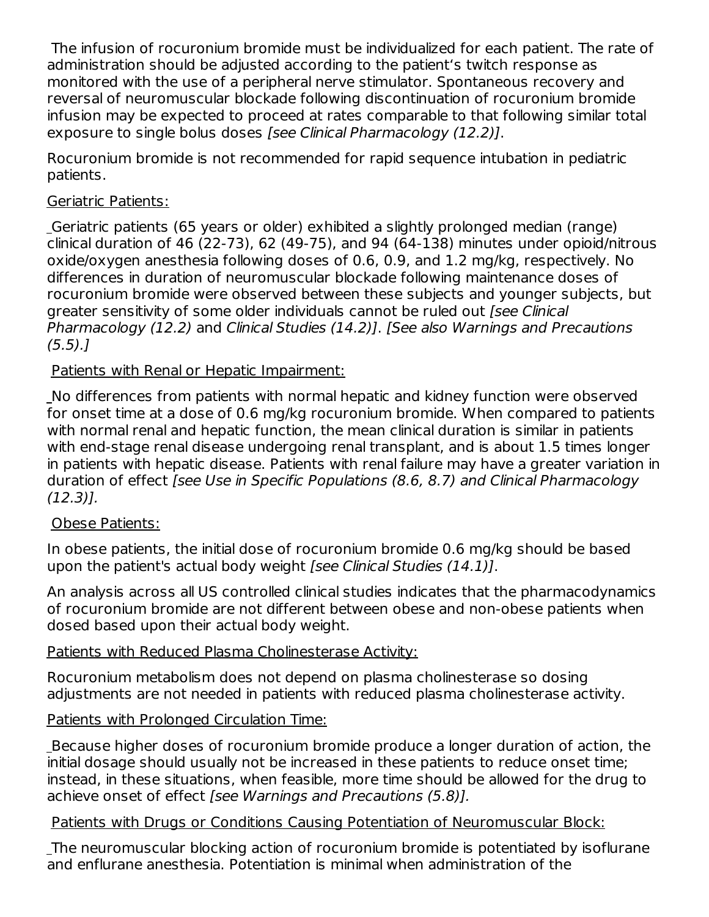The infusion of rocuronium bromide must be individualized for each patient. The rate of administration should be adjusted according to the patient's twitch response as monitored with the use of a peripheral nerve stimulator. Spontaneous recovery and reversal of neuromuscular blockade following discontinuation of rocuronium bromide infusion may be expected to proceed at rates comparable to that following similar total exposure to single bolus doses [see Clinical Pharmacology (12.2)].

Rocuronium bromide is not recommended for rapid sequence intubation in pediatric patients.

### Geriatric Patients:

Geriatric patients (65 years or older) exhibited a slightly prolonged median (range) clinical duration of 46 (22-73), 62 (49-75), and 94 (64-138) minutes under opioid/nitrous oxide/oxygen anesthesia following doses of 0.6, 0.9, and 1.2 mg/kg, respectively. No differences in duration of neuromuscular blockade following maintenance doses of rocuronium bromide were observed between these subjects and younger subjects, but greater sensitivity of some older individuals cannot be ruled out [see Clinical Pharmacology (12.2) and Clinical Studies (14.2)]. [See also Warnings and Precautions  $(5.5).$ 

Patients with Renal or Hepatic Impairment:

No differences from patients with normal hepatic and kidney function were observed for onset time at a dose of 0.6 mg/kg rocuronium bromide. When compared to patients with normal renal and hepatic function, the mean clinical duration is similar in patients with end-stage renal disease undergoing renal transplant, and is about 1.5 times longer in patients with hepatic disease. Patients with renal failure may have a greater variation in duration of effect [see Use in Specific Populations (8.6, 8.7) and Clinical Pharmacology (12.3)].

### Obese Patients:

In obese patients, the initial dose of rocuronium bromide 0.6 mg/kg should be based upon the patient's actual body weight [see Clinical Studies (14.1)].

An analysis across all US controlled clinical studies indicates that the pharmacodynamics of rocuronium bromide are not different between obese and non-obese patients when dosed based upon their actual body weight.

### Patients with Reduced Plasma Cholinesterase Activity:

Rocuronium metabolism does not depend on plasma cholinesterase so dosing adjustments are not needed in patients with reduced plasma cholinesterase activity.

### Patients with Prolonged Circulation Time:

Because higher doses of rocuronium bromide produce a longer duration of action, the initial dosage should usually not be increased in these patients to reduce onset time; instead, in these situations, when feasible, more time should be allowed for the drug to achieve onset of effect [see Warnings and Precautions (5.8)].

### Patients with Drugs or Conditions Causing Potentiation of Neuromuscular Block:

The neuromuscular blocking action of rocuronium bromide is potentiated by isoflurane and enflurane anesthesia. Potentiation is minimal when administration of the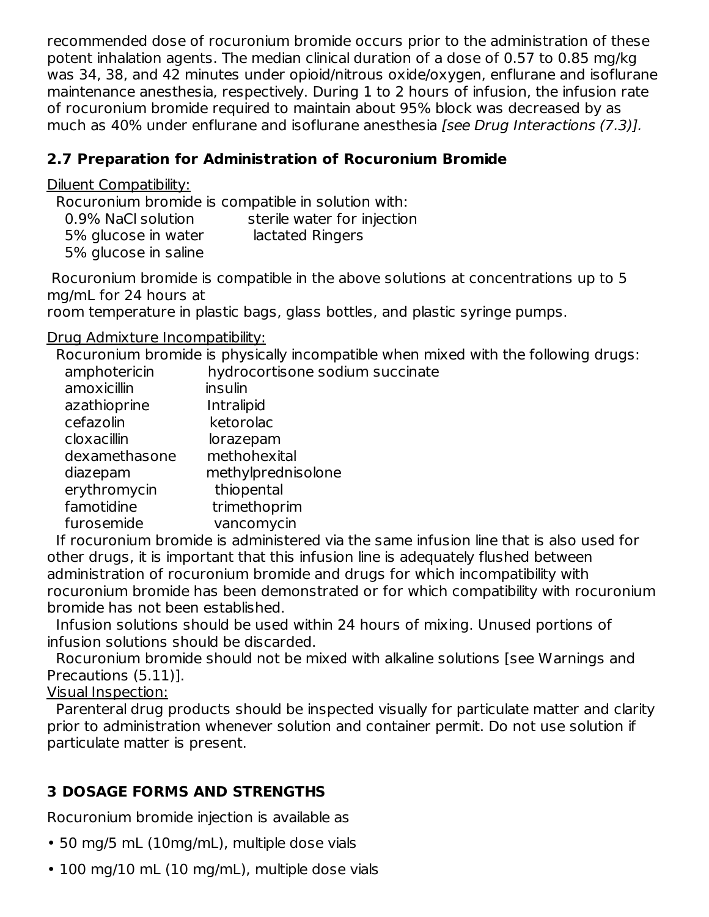recommended dose of rocuronium bromide occurs prior to the administration of these potent inhalation agents. The median clinical duration of a dose of 0.57 to 0.85 mg/kg was 34, 38, and 42 minutes under opioid/nitrous oxide/oxygen, enflurane and isoflurane maintenance anesthesia, respectively. During 1 to 2 hours of infusion, the infusion rate of rocuronium bromide required to maintain about 95% block was decreased by as much as 40% under enflurane and isoflurane anesthesia [see Drug Interactions (7.3)].

## **2.7 Preparation for Administration of Rocuronium Bromide**

Diluent Compatibility:

Rocuronium bromide is compatible in solution with:

| 0.9% NaCl solution   | sterile water for injection |
|----------------------|-----------------------------|
| 5% glucose in water  | lactated Ringers            |
| 5% glucose in saline |                             |

Rocuronium bromide is compatible in the above solutions at concentrations up to 5 mg/mL for 24 hours at

room temperature in plastic bags, glass bottles, and plastic syringe pumps.

Drug Admixture Incompatibility:

Rocuronium bromide is physically incompatible when mixed with the following drugs:

| amphotericin  | hydrocortisone sodium succinate |
|---------------|---------------------------------|
| amoxicillin   | insulin                         |
| azathioprine  | Intralipid                      |
| cefazolin     | ketorolac                       |
| cloxacillin   | lorazepam                       |
| dexamethasone | methohexital                    |
| diazepam      | methylprednisolone              |
| erythromycin  | thiopental                      |
| famotidine    | trimethoprim                    |
| furosemide    | vancomycin                      |
|               |                                 |

If rocuronium bromide is administered via the same infusion line that is also used for other drugs, it is important that this infusion line is adequately flushed between administration of rocuronium bromide and drugs for which incompatibility with rocuronium bromide has been demonstrated or for which compatibility with rocuronium bromide has not been established.

Infusion solutions should be used within 24 hours of mixing. Unused portions of infusion solutions should be discarded.

Rocuronium bromide should not be mixed with alkaline solutions [see Warnings and Precautions (5.11)].

Visual Inspection:

Parenteral drug products should be inspected visually for particulate matter and clarity prior to administration whenever solution and container permit. Do not use solution if particulate matter is present.

# **3 DOSAGE FORMS AND STRENGTHS**

Rocuronium bromide injection is available as

- 50 mg/5 mL (10mg/mL), multiple dose vials
- 100 mg/10 mL (10 mg/mL), multiple dose vials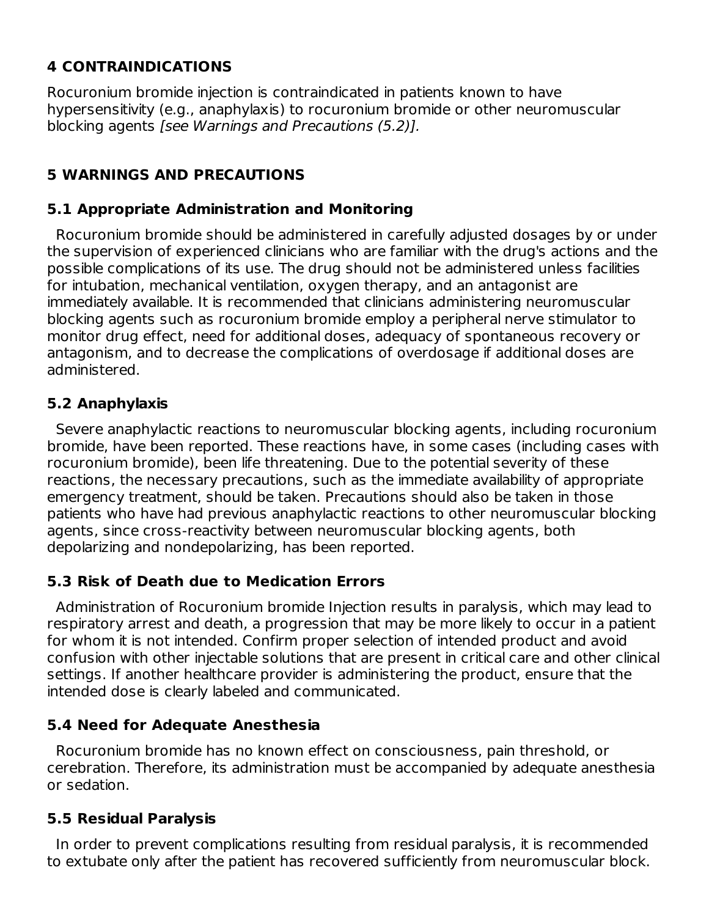# **4 CONTRAINDICATIONS**

Rocuronium bromide injection is contraindicated in patients known to have hypersensitivity (e.g., anaphylaxis) to rocuronium bromide or other neuromuscular blocking agents [see Warnings and Precautions (5.2)].

# **5 WARNINGS AND PRECAUTIONS**

### **5.1 Appropriate Administration and Monitoring**

Rocuronium bromide should be administered in carefully adjusted dosages by or under the supervision of experienced clinicians who are familiar with the drug's actions and the possible complications of its use. The drug should not be administered unless facilities for intubation, mechanical ventilation, oxygen therapy, and an antagonist are immediately available. It is recommended that clinicians administering neuromuscular blocking agents such as rocuronium bromide employ a peripheral nerve stimulator to monitor drug effect, need for additional doses, adequacy of spontaneous recovery or antagonism, and to decrease the complications of overdosage if additional doses are administered.

### **5.2 Anaphylaxis**

Severe anaphylactic reactions to neuromuscular blocking agents, including rocuronium bromide, have been reported. These reactions have, in some cases (including cases with rocuronium bromide), been life threatening. Due to the potential severity of these reactions, the necessary precautions, such as the immediate availability of appropriate emergency treatment, should be taken. Precautions should also be taken in those patients who have had previous anaphylactic reactions to other neuromuscular blocking agents, since cross-reactivity between neuromuscular blocking agents, both depolarizing and nondepolarizing, has been reported.

### **5.3 Risk of Death due to Medication Errors**

Administration of Rocuronium bromide Injection results in paralysis, which may lead to respiratory arrest and death, a progression that may be more likely to occur in a patient for whom it is not intended. Confirm proper selection of intended product and avoid confusion with other injectable solutions that are present in critical care and other clinical settings. If another healthcare provider is administering the product, ensure that the intended dose is clearly labeled and communicated.

### **5.4 Need for Adequate Anesthesia**

Rocuronium bromide has no known effect on consciousness, pain threshold, or cerebration. Therefore, its administration must be accompanied by adequate anesthesia or sedation.

### **5.5 Residual Paralysis**

In order to prevent complications resulting from residual paralysis, it is recommended to extubate only after the patient has recovered sufficiently from neuromuscular block.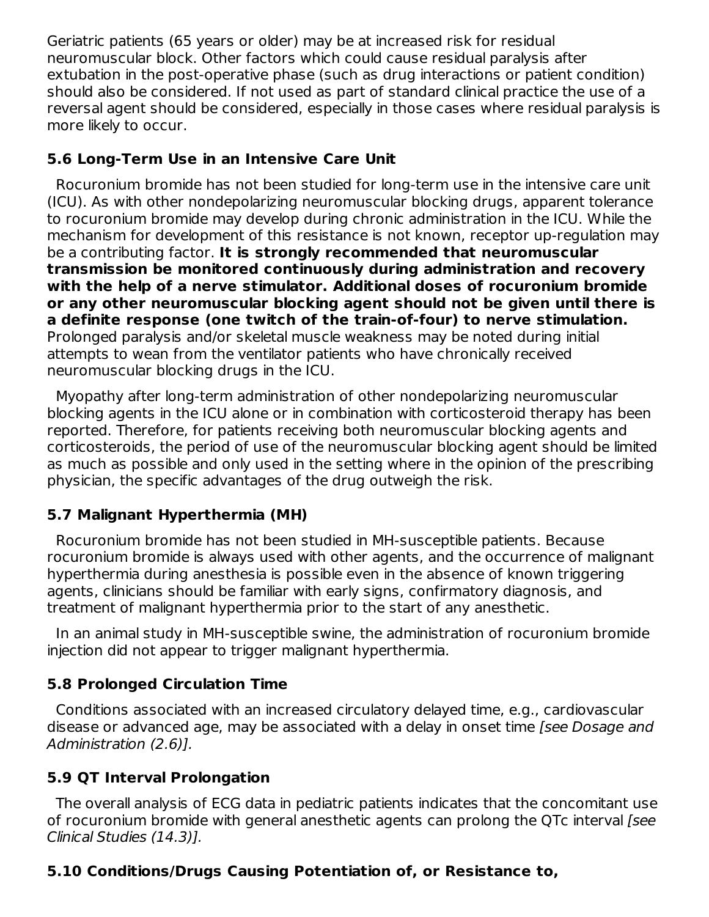Geriatric patients (65 years or older) may be at increased risk for residual neuromuscular block. Other factors which could cause residual paralysis after extubation in the post-operative phase (such as drug interactions or patient condition) should also be considered. If not used as part of standard clinical practice the use of a reversal agent should be considered, especially in those cases where residual paralysis is more likely to occur.

### **5.6 Long-Term Use in an Intensive Care Unit**

Rocuronium bromide has not been studied for long-term use in the intensive care unit (ICU). As with other nondepolarizing neuromuscular blocking drugs, apparent tolerance to rocuronium bromide may develop during chronic administration in the ICU. While the mechanism for development of this resistance is not known, receptor up-regulation may be a contributing factor. **It is strongly recommended that neuromuscular transmission be monitored continuously during administration and recovery with the help of a nerve stimulator. Additional doses of rocuronium bromide or any other neuromuscular blocking agent should not be given until there is a definite response (one twitch of the train-of-four) to nerve stimulation.** Prolonged paralysis and/or skeletal muscle weakness may be noted during initial attempts to wean from the ventilator patients who have chronically received neuromuscular blocking drugs in the ICU.

Myopathy after long-term administration of other nondepolarizing neuromuscular blocking agents in the ICU alone or in combination with corticosteroid therapy has been reported. Therefore, for patients receiving both neuromuscular blocking agents and corticosteroids, the period of use of the neuromuscular blocking agent should be limited as much as possible and only used in the setting where in the opinion of the prescribing physician, the specific advantages of the drug outweigh the risk.

# **5.7 Malignant Hyperthermia (MH)**

Rocuronium bromide has not been studied in MH-susceptible patients. Because rocuronium bromide is always used with other agents, and the occurrence of malignant hyperthermia during anesthesia is possible even in the absence of known triggering agents, clinicians should be familiar with early signs, confirmatory diagnosis, and treatment of malignant hyperthermia prior to the start of any anesthetic.

In an animal study in MH-susceptible swine, the administration of rocuronium bromide injection did not appear to trigger malignant hyperthermia.

# **5.8 Prolonged Circulation Time**

Conditions associated with an increased circulatory delayed time, e.g., cardiovascular disease or advanced age, may be associated with a delay in onset time [see Dosage and Administration (2.6)].

# **5.9 QT Interval Prolongation**

The overall analysis of ECG data in pediatric patients indicates that the concomitant use of rocuronium bromide with general anesthetic agents can prolong the QTc interval [see Clinical Studies (14.3)].

# **5.10 Conditions/Drugs Causing Potentiation of, or Resistance to,**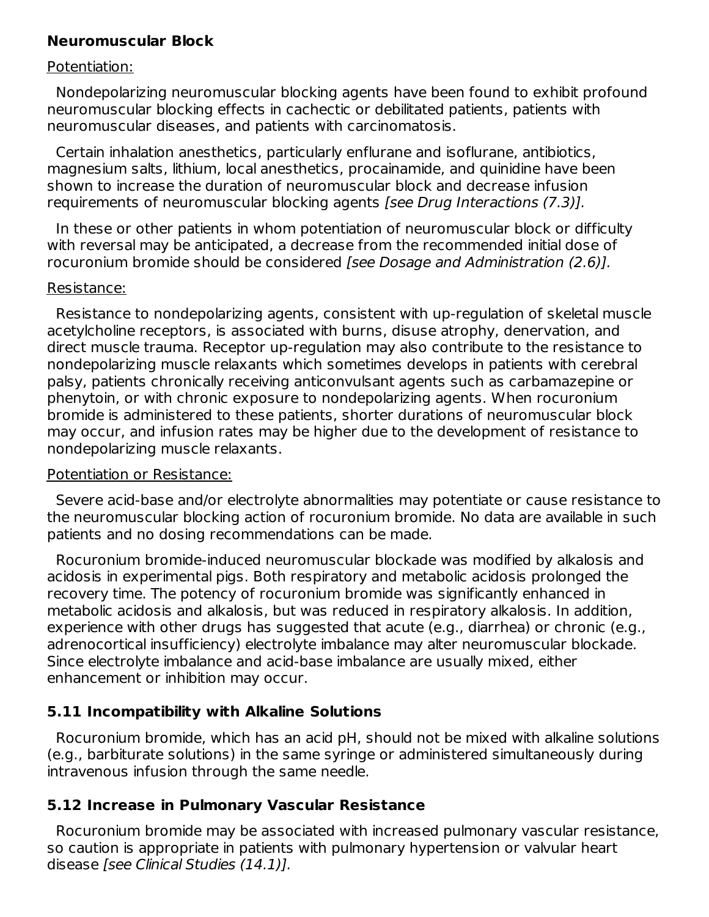#### **Neuromuscular Block**

#### Potentiation:

Nondepolarizing neuromuscular blocking agents have been found to exhibit profound neuromuscular blocking effects in cachectic or debilitated patients, patients with neuromuscular diseases, and patients with carcinomatosis.

Certain inhalation anesthetics, particularly enflurane and isoflurane, antibiotics, magnesium salts, lithium, local anesthetics, procainamide, and quinidine have been shown to increase the duration of neuromuscular block and decrease infusion requirements of neuromuscular blocking agents [see Drug Interactions (7.3)].

In these or other patients in whom potentiation of neuromuscular block or difficulty with reversal may be anticipated, a decrease from the recommended initial dose of rocuronium bromide should be considered [see Dosage and Administration (2.6)].

#### Resistance:

Resistance to nondepolarizing agents, consistent with up-regulation of skeletal muscle acetylcholine receptors, is associated with burns, disuse atrophy, denervation, and direct muscle trauma. Receptor up-regulation may also contribute to the resistance to nondepolarizing muscle relaxants which sometimes develops in patients with cerebral palsy, patients chronically receiving anticonvulsant agents such as carbamazepine or phenytoin, or with chronic exposure to nondepolarizing agents. When rocuronium bromide is administered to these patients, shorter durations of neuromuscular block may occur, and infusion rates may be higher due to the development of resistance to nondepolarizing muscle relaxants.

#### Potentiation or Resistance:

Severe acid-base and/or electrolyte abnormalities may potentiate or cause resistance to the neuromuscular blocking action of rocuronium bromide. No data are available in such patients and no dosing recommendations can be made.

Rocuronium bromide-induced neuromuscular blockade was modified by alkalosis and acidosis in experimental pigs. Both respiratory and metabolic acidosis prolonged the recovery time. The potency of rocuronium bromide was significantly enhanced in metabolic acidosis and alkalosis, but was reduced in respiratory alkalosis. In addition, experience with other drugs has suggested that acute (e.g., diarrhea) or chronic (e.g., adrenocortical insufficiency) electrolyte imbalance may alter neuromuscular blockade. Since electrolyte imbalance and acid-base imbalance are usually mixed, either enhancement or inhibition may occur.

### **5.11 Incompatibility with Alkaline Solutions**

Rocuronium bromide, which has an acid pH, should not be mixed with alkaline solutions (e.g., barbiturate solutions) in the same syringe or administered simultaneously during intravenous infusion through the same needle.

### **5.12 Increase in Pulmonary Vascular Resistance**

Rocuronium bromide may be associated with increased pulmonary vascular resistance, so caution is appropriate in patients with pulmonary hypertension or valvular heart disease [see Clinical Studies (14.1)].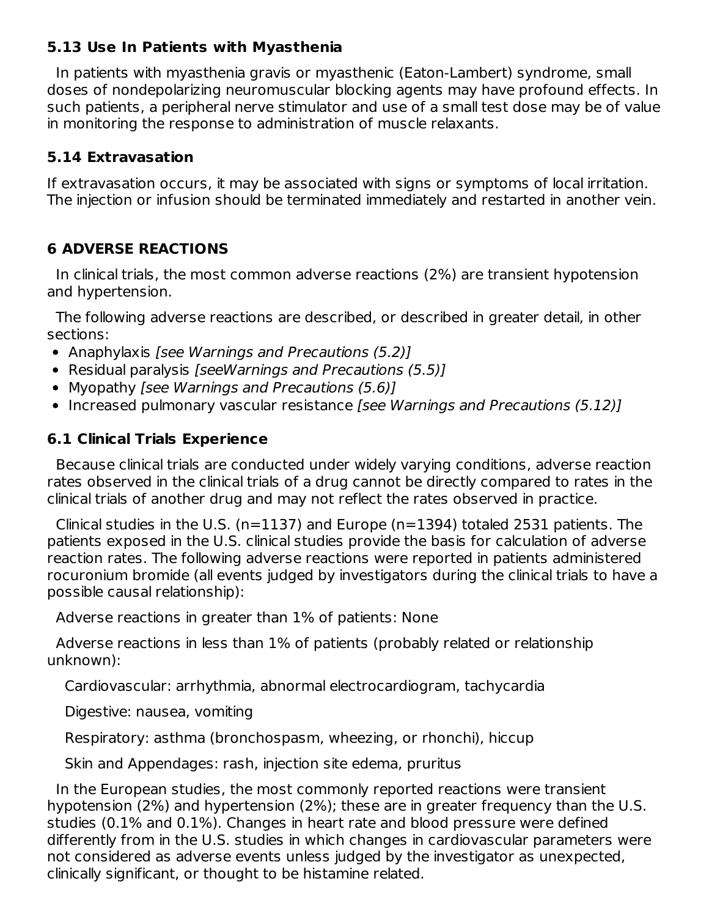### **5.13 Use In Patients with Myasthenia**

In patients with myasthenia gravis or myasthenic (Eaton-Lambert) syndrome, small doses of nondepolarizing neuromuscular blocking agents may have profound effects. In such patients, a peripheral nerve stimulator and use of a small test dose may be of value in monitoring the response to administration of muscle relaxants.

### **5.14 Extravasation**

If extravasation occurs, it may be associated with signs or symptoms of local irritation. The injection or infusion should be terminated immediately and restarted in another vein.

### **6 ADVERSE REACTIONS**

In clinical trials, the most common adverse reactions (2%) are transient hypotension and hypertension.

The following adverse reactions are described, or described in greater detail, in other sections:

- Anaphylaxis [see Warnings and Precautions (5.2)]
- Residual paralysis [seeWarnings and Precautions (5.5)]
- Myopathy [see Warnings and Precautions (5.6)]
- Increased pulmonary vascular resistance [see Warnings and Precautions (5.12)]

# **6.1 Clinical Trials Experience**

Because clinical trials are conducted under widely varying conditions, adverse reaction rates observed in the clinical trials of a drug cannot be directly compared to rates in the clinical trials of another drug and may not reflect the rates observed in practice.

Clinical studies in the U.S. (n=1137) and Europe (n=1394) totaled 2531 patients. The patients exposed in the U.S. clinical studies provide the basis for calculation of adverse reaction rates. The following adverse reactions were reported in patients administered rocuronium bromide (all events judged by investigators during the clinical trials to have a possible causal relationship):

Adverse reactions in greater than 1% of patients: None

Adverse reactions in less than 1% of patients (probably related or relationship unknown):

Cardiovascular: arrhythmia, abnormal electrocardiogram, tachycardia

Digestive: nausea, vomiting

Respiratory: asthma (bronchospasm, wheezing, or rhonchi), hiccup

Skin and Appendages: rash, injection site edema, pruritus

In the European studies, the most commonly reported reactions were transient hypotension (2%) and hypertension (2%); these are in greater frequency than the U.S. studies (0.1% and 0.1%). Changes in heart rate and blood pressure were defined differently from in the U.S. studies in which changes in cardiovascular parameters were not considered as adverse events unless judged by the investigator as unexpected, clinically significant, or thought to be histamine related.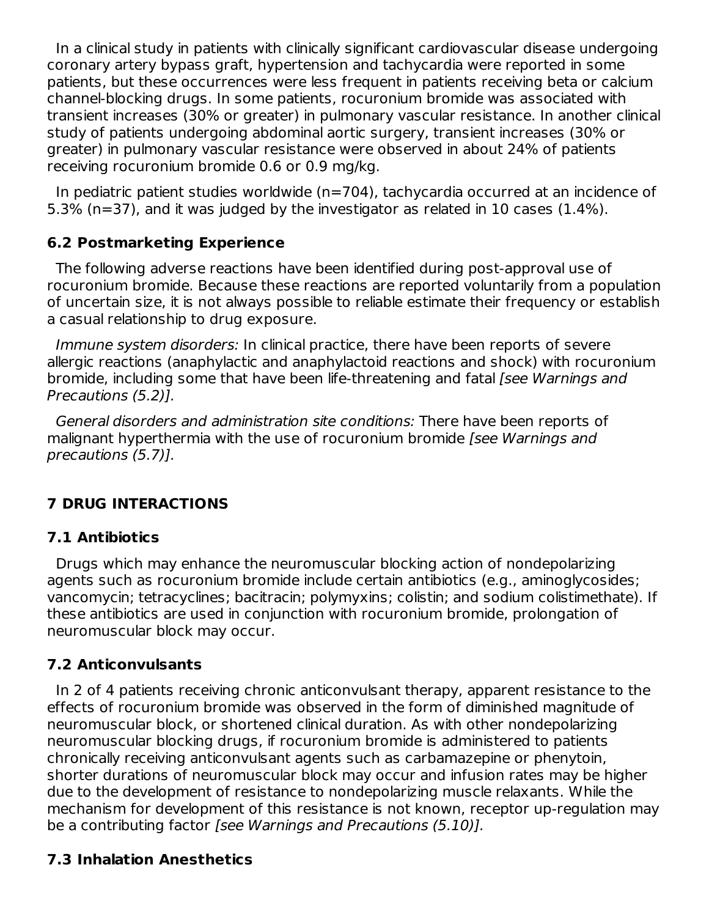In a clinical study in patients with clinically significant cardiovascular disease undergoing coronary artery bypass graft, hypertension and tachycardia were reported in some patients, but these occurrences were less frequent in patients receiving beta or calcium channel-blocking drugs. In some patients, rocuronium bromide was associated with transient increases (30% or greater) in pulmonary vascular resistance. In another clinical study of patients undergoing abdominal aortic surgery, transient increases (30% or greater) in pulmonary vascular resistance were observed in about 24% of patients receiving rocuronium bromide 0.6 or 0.9 mg/kg.

In pediatric patient studies worldwide (n=704), tachycardia occurred at an incidence of 5.3% (n=37), and it was judged by the investigator as related in 10 cases (1.4%).

# **6.2 Postmarketing Experience**

The following adverse reactions have been identified during post-approval use of rocuronium bromide. Because these reactions are reported voluntarily from a population of uncertain size, it is not always possible to reliable estimate their frequency or establish a casual relationship to drug exposure.

Immune system disorders: In clinical practice, there have been reports of severe allergic reactions (anaphylactic and anaphylactoid reactions and shock) with rocuronium bromide, including some that have been life-threatening and fatal [see Warnings and Precautions (5.2)].

General disorders and administration site conditions: There have been reports of malignant hyperthermia with the use of rocuronium bromide [see Warnings and precautions (5.7)].

# **7 DRUG INTERACTIONS**

# **7.1 Antibiotics**

Drugs which may enhance the neuromuscular blocking action of nondepolarizing agents such as rocuronium bromide include certain antibiotics (e.g., aminoglycosides; vancomycin; tetracyclines; bacitracin; polymyxins; colistin; and sodium colistimethate). If these antibiotics are used in conjunction with rocuronium bromide, prolongation of neuromuscular block may occur.

### **7.2 Anticonvulsants**

In 2 of 4 patients receiving chronic anticonvulsant therapy, apparent resistance to the effects of rocuronium bromide was observed in the form of diminished magnitude of neuromuscular block, or shortened clinical duration. As with other nondepolarizing neuromuscular blocking drugs, if rocuronium bromide is administered to patients chronically receiving anticonvulsant agents such as carbamazepine or phenytoin, shorter durations of neuromuscular block may occur and infusion rates may be higher due to the development of resistance to nondepolarizing muscle relaxants. While the mechanism for development of this resistance is not known, receptor up-regulation may be a contributing factor [see Warnings and Precautions (5.10)].

# **7.3 Inhalation Anesthetics**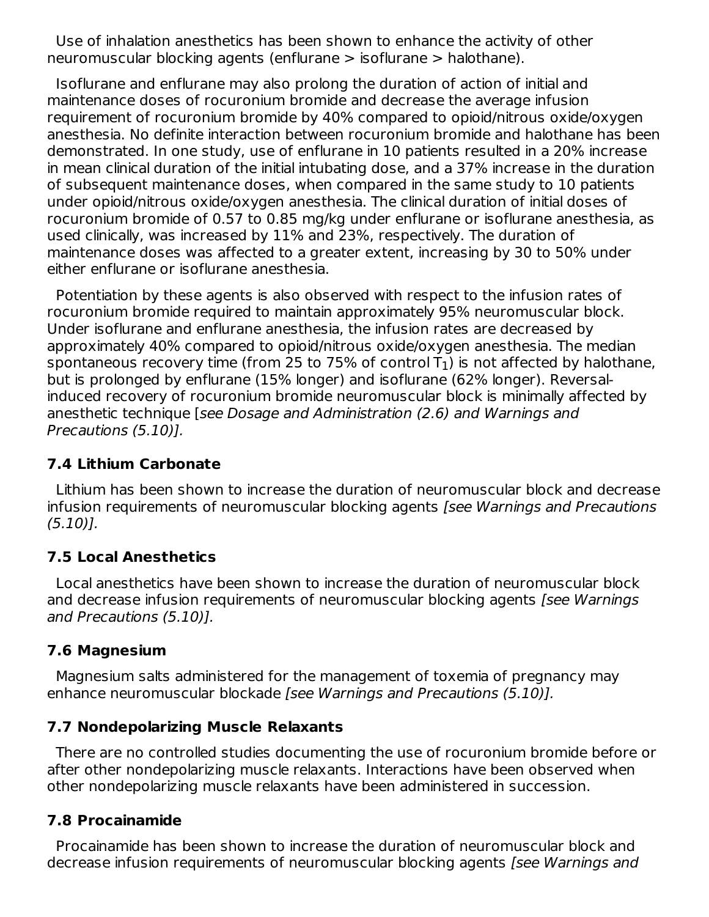Use of inhalation anesthetics has been shown to enhance the activity of other neuromuscular blocking agents (enflurane > isoflurane > halothane).

Isoflurane and enflurane may also prolong the duration of action of initial and maintenance doses of rocuronium bromide and decrease the average infusion requirement of rocuronium bromide by 40% compared to opioid/nitrous oxide/oxygen anesthesia. No definite interaction between rocuronium bromide and halothane has been demonstrated. In one study, use of enflurane in 10 patients resulted in a 20% increase in mean clinical duration of the initial intubating dose, and a 37% increase in the duration of subsequent maintenance doses, when compared in the same study to 10 patients under opioid/nitrous oxide/oxygen anesthesia. The clinical duration of initial doses of rocuronium bromide of 0.57 to 0.85 mg/kg under enflurane or isoflurane anesthesia, as used clinically, was increased by 11% and 23%, respectively. The duration of maintenance doses was affected to a greater extent, increasing by 30 to 50% under either enflurane or isoflurane anesthesia.

Potentiation by these agents is also observed with respect to the infusion rates of rocuronium bromide required to maintain approximately 95% neuromuscular block. Under isoflurane and enflurane anesthesia, the infusion rates are decreased by approximately 40% compared to opioid/nitrous oxide/oxygen anesthesia. The median spontaneous recovery time (from 25 to 75% of control T $_{\rm 1}$ ) is not affected by halothane, but is prolonged by enflurane (15% longer) and isoflurane (62% longer). Reversalinduced recovery of rocuronium bromide neuromuscular block is minimally affected by anesthetic technique [see Dosage and Administration (2.6) and Warnings and Precautions (5.10)].

### **7.4 Lithium Carbonate**

Lithium has been shown to increase the duration of neuromuscular block and decrease infusion requirements of neuromuscular blocking agents [see Warnings and Precautions (5.10)].

### **7.5 Local Anesthetics**

Local anesthetics have been shown to increase the duration of neuromuscular block and decrease infusion requirements of neuromuscular blocking agents [see Warnings] and Precautions (5.10)].

### **7.6 Magnesium**

Magnesium salts administered for the management of toxemia of pregnancy may enhance neuromuscular blockade [see Warnings and Precautions (5.10)].

### **7.7 Nondepolarizing Muscle Relaxants**

There are no controlled studies documenting the use of rocuronium bromide before or after other nondepolarizing muscle relaxants. Interactions have been observed when other nondepolarizing muscle relaxants have been administered in succession.

### **7.8 Procainamide**

Procainamide has been shown to increase the duration of neuromuscular block and decrease infusion requirements of neuromuscular blocking agents [see Warnings and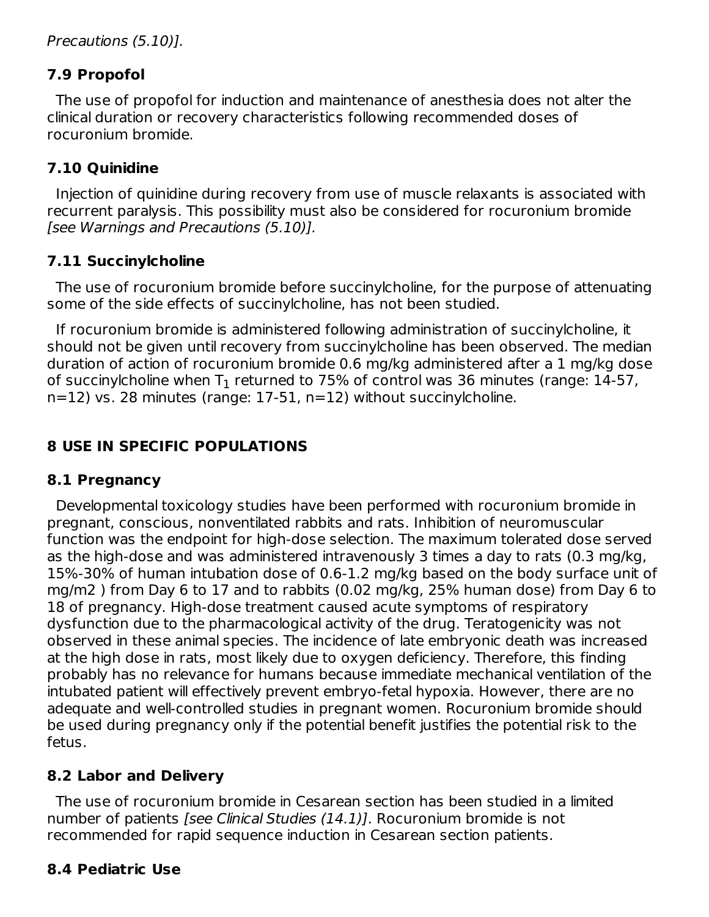# **7.9 Propofol**

The use of propofol for induction and maintenance of anesthesia does not alter the clinical duration or recovery characteristics following recommended doses of rocuronium bromide.

# **7.10 Quinidine**

Injection of quinidine during recovery from use of muscle relaxants is associated with recurrent paralysis. This possibility must also be considered for rocuronium bromide [see Warnings and Precautions (5.10)].

# **7.11 Succinylcholine**

The use of rocuronium bromide before succinylcholine, for the purpose of attenuating some of the side effects of succinylcholine, has not been studied.

If rocuronium bromide is administered following administration of succinylcholine, it should not be given until recovery from succinylcholine has been observed. The median duration of action of rocuronium bromide 0.6 mg/kg administered after a 1 mg/kg dose of succinylcholine when  ${\mathsf T}_1$  returned to 75% of control was 36 minutes (range: 14-57, n=12) vs. 28 minutes (range: 17-51, n=12) without succinylcholine.

# **8 USE IN SPECIFIC POPULATIONS**

# **8.1 Pregnancy**

Developmental toxicology studies have been performed with rocuronium bromide in pregnant, conscious, nonventilated rabbits and rats. Inhibition of neuromuscular function was the endpoint for high-dose selection. The maximum tolerated dose served as the high-dose and was administered intravenously 3 times a day to rats (0.3 mg/kg, 15%-30% of human intubation dose of 0.6-1.2 mg/kg based on the body surface unit of mg/m2 ) from Day 6 to 17 and to rabbits (0.02 mg/kg, 25% human dose) from Day 6 to 18 of pregnancy. High-dose treatment caused acute symptoms of respiratory dysfunction due to the pharmacological activity of the drug. Teratogenicity was not observed in these animal species. The incidence of late embryonic death was increased at the high dose in rats, most likely due to oxygen deficiency. Therefore, this finding probably has no relevance for humans because immediate mechanical ventilation of the intubated patient will effectively prevent embryo-fetal hypoxia. However, there are no adequate and well-controlled studies in pregnant women. Rocuronium bromide should be used during pregnancy only if the potential benefit justifies the potential risk to the fetus.

# **8.2 Labor and Delivery**

The use of rocuronium bromide in Cesarean section has been studied in a limited number of patients [see Clinical Studies (14.1)]. Rocuronium bromide is not recommended for rapid sequence induction in Cesarean section patients.

# **8.4 Pediatric Use**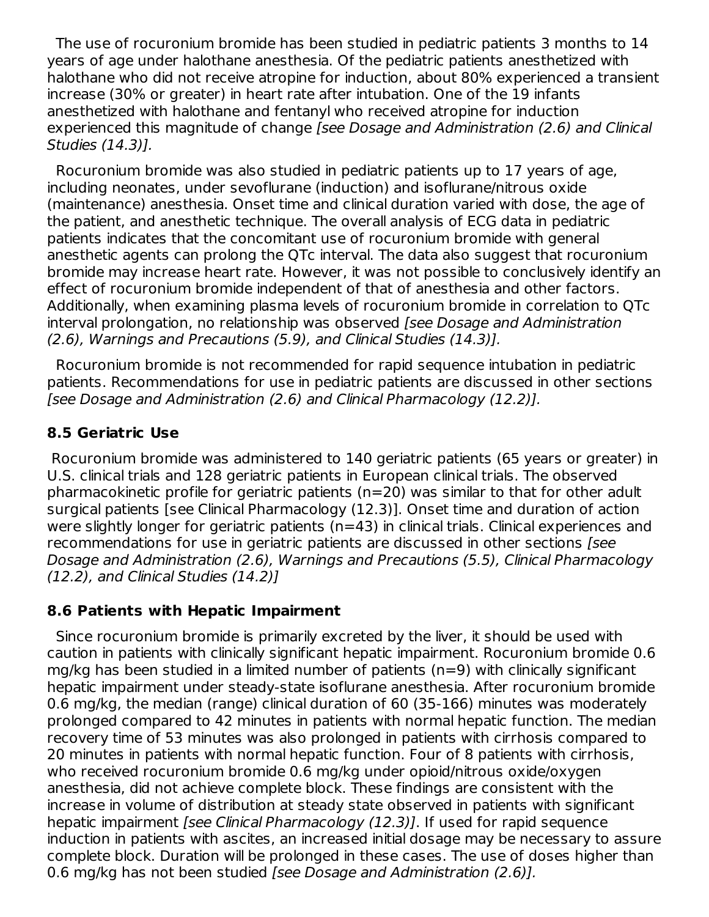The use of rocuronium bromide has been studied in pediatric patients 3 months to 14 years of age under halothane anesthesia. Of the pediatric patients anesthetized with halothane who did not receive atropine for induction, about 80% experienced a transient increase (30% or greater) in heart rate after intubation. One of the 19 infants anesthetized with halothane and fentanyl who received atropine for induction experienced this magnitude of change [see Dosage and Administration (2.6) and Clinical Studies (14.3)].

Rocuronium bromide was also studied in pediatric patients up to 17 years of age, including neonates, under sevoflurane (induction) and isoflurane/nitrous oxide (maintenance) anesthesia. Onset time and clinical duration varied with dose, the age of the patient, and anesthetic technique. The overall analysis of ECG data in pediatric patients indicates that the concomitant use of rocuronium bromide with general anesthetic agents can prolong the QTc interval. The data also suggest that rocuronium bromide may increase heart rate. However, it was not possible to conclusively identify an effect of rocuronium bromide independent of that of anesthesia and other factors. Additionally, when examining plasma levels of rocuronium bromide in correlation to QTc interval prolongation, no relationship was observed *[see Dosage and Administration* (2.6), Warnings and Precautions (5.9), and Clinical Studies (14.3)].

Rocuronium bromide is not recommended for rapid sequence intubation in pediatric patients. Recommendations for use in pediatric patients are discussed in other sections [see Dosage and Administration (2.6) and Clinical Pharmacology (12.2)].

### **8.5 Geriatric Use**

Rocuronium bromide was administered to 140 geriatric patients (65 years or greater) in U.S. clinical trials and 128 geriatric patients in European clinical trials. The observed pharmacokinetic profile for geriatric patients (n=20) was similar to that for other adult surgical patients [see Clinical Pharmacology (12.3)]. Onset time and duration of action were slightly longer for geriatric patients (n=43) in clinical trials. Clinical experiences and recommendations for use in geriatric patients are discussed in other sections [see Dosage and Administration (2.6), Warnings and Precautions (5.5), Clinical Pharmacology (12.2), and Clinical Studies (14.2)]

### **8.6 Patients with Hepatic Impairment**

Since rocuronium bromide is primarily excreted by the liver, it should be used with caution in patients with clinically significant hepatic impairment. Rocuronium bromide 0.6 mg/kg has been studied in a limited number of patients (n=9) with clinically significant hepatic impairment under steady-state isoflurane anesthesia. After rocuronium bromide 0.6 mg/kg, the median (range) clinical duration of 60 (35-166) minutes was moderately prolonged compared to 42 minutes in patients with normal hepatic function. The median recovery time of 53 minutes was also prolonged in patients with cirrhosis compared to 20 minutes in patients with normal hepatic function. Four of 8 patients with cirrhosis, who received rocuronium bromide 0.6 mg/kg under opioid/nitrous oxide/oxygen anesthesia, did not achieve complete block. These findings are consistent with the increase in volume of distribution at steady state observed in patients with significant hepatic impairment [see Clinical Pharmacology (12.3)]. If used for rapid sequence induction in patients with ascites, an increased initial dosage may be necessary to assure complete block. Duration will be prolonged in these cases. The use of doses higher than 0.6 mg/kg has not been studied [see Dosage and Administration (2.6)].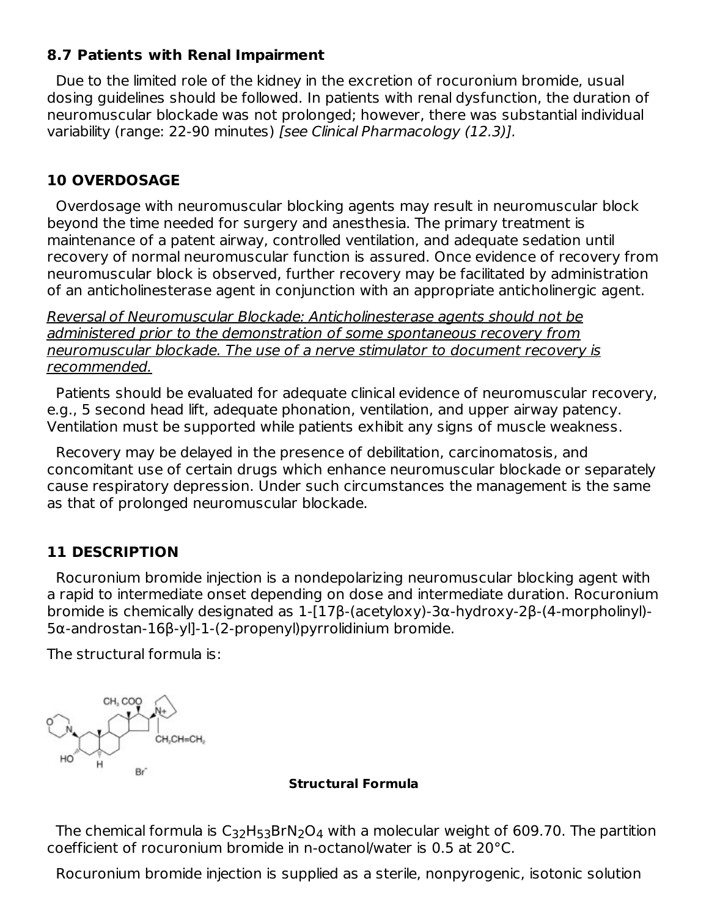### **8.7 Patients with Renal Impairment**

Due to the limited role of the kidney in the excretion of rocuronium bromide, usual dosing guidelines should be followed. In patients with renal dysfunction, the duration of neuromuscular blockade was not prolonged; however, there was substantial individual variability (range: 22-90 minutes) [see Clinical Pharmacology (12.3)].

### **10 OVERDOSAGE**

Overdosage with neuromuscular blocking agents may result in neuromuscular block beyond the time needed for surgery and anesthesia. The primary treatment is maintenance of a patent airway, controlled ventilation, and adequate sedation until recovery of normal neuromuscular function is assured. Once evidence of recovery from neuromuscular block is observed, further recovery may be facilitated by administration of an anticholinesterase agent in conjunction with an appropriate anticholinergic agent.

Reversal of Neuromuscular Blockade: Anticholinesterase agents should not be administered prior to the demonstration of some spontaneous recovery from neuromuscular blockade. The use of a nerve stimulator to document recovery is recommended.

Patients should be evaluated for adequate clinical evidence of neuromuscular recovery, e.g., 5 second head lift, adequate phonation, ventilation, and upper airway patency. Ventilation must be supported while patients exhibit any signs of muscle weakness.

Recovery may be delayed in the presence of debilitation, carcinomatosis, and concomitant use of certain drugs which enhance neuromuscular blockade or separately cause respiratory depression. Under such circumstances the management is the same as that of prolonged neuromuscular blockade.

### **11 DESCRIPTION**

Rocuronium bromide injection is a nondepolarizing neuromuscular blocking agent with a rapid to intermediate onset depending on dose and intermediate duration. Rocuronium bromide is chemically designated as 1-[17β-(acetyloxy)-3α-hydroxy-2β-(4-morpholinyl)- 5α-androstan-16β-yl]-1-(2-propenyl)pyrrolidinium bromide.

The structural formula is:



#### **Structural Formula**

The chemical formula is  $\mathsf{C}_{32}\mathsf{H}_{53}\mathsf{BrN}_2\mathsf{O}_4$  with a molecular weight of 609.70. The partition coefficient of rocuronium bromide in n-octanol/water is 0.5 at 20°C.

Rocuronium bromide injection is supplied as a sterile, nonpyrogenic, isotonic solution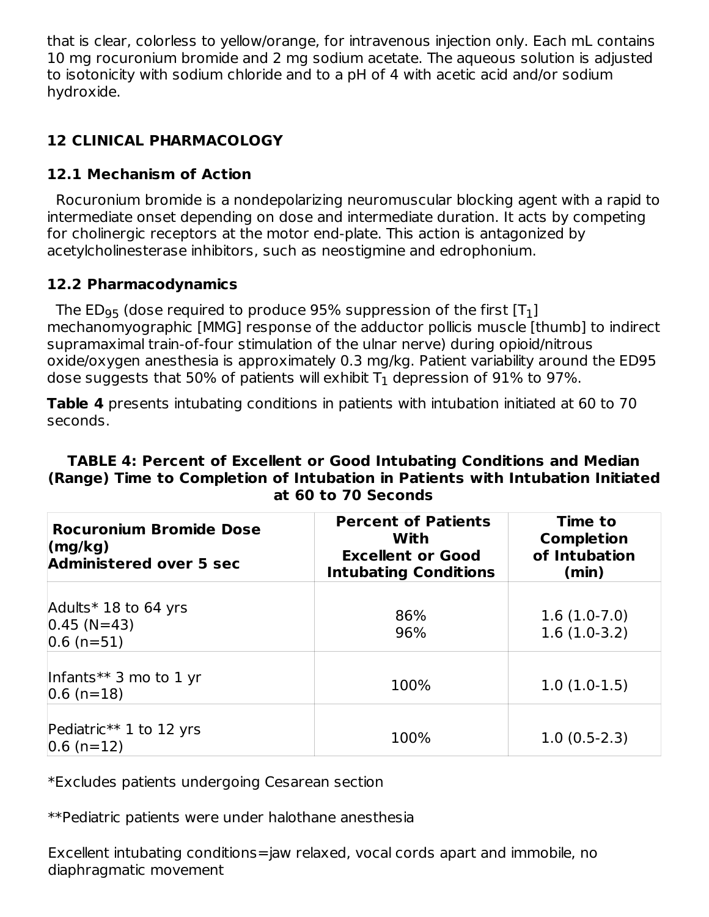that is clear, colorless to yellow/orange, for intravenous injection only. Each mL contains 10 mg rocuronium bromide and 2 mg sodium acetate. The aqueous solution is adjusted to isotonicity with sodium chloride and to a pH of 4 with acetic acid and/or sodium hydroxide.

# **12 CLINICAL PHARMACOLOGY**

## **12.1 Mechanism of Action**

Rocuronium bromide is a nondepolarizing neuromuscular blocking agent with a rapid to intermediate onset depending on dose and intermediate duration. It acts by competing for cholinergic receptors at the motor end-plate. This action is antagonized by acetylcholinesterase inhibitors, such as neostigmine and edrophonium.

### **12.2 Pharmacodynamics**

The ED $_{95}$  (dose required to produce 95% suppression of the first [T $_{\rm 1}$ ] mechanomyographic [MMG] response of the adductor pollicis muscle [thumb] to indirect supramaximal train-of-four stimulation of the ulnar nerve) during opioid/nitrous oxide/oxygen anesthesia is approximately 0.3 mg/kg. Patient variability around the ED95 dose suggests that 50% of patients will exhibit  ${\mathsf T}_1$  depression of 91% to 97%.

**Table 4** presents intubating conditions in patients with intubation initiated at 60 to 70 seconds.

#### **TABLE 4: Percent of Excellent or Good Intubating Conditions and Median (Range) Time to Completion of Intubation in Patients with Intubation Initiated at 60 to 70 Seconds**

| <b>Rocuronium Bromide Dose</b><br>$\langle \text{mg/kg} \rangle$<br><b>Administered over 5 sec</b> | <b>Percent of Patients</b><br>With<br><b>Excellent or Good</b><br><b>Intubating Conditions</b> | Time to<br><b>Completion</b><br>of Intubation<br>(min) |
|----------------------------------------------------------------------------------------------------|------------------------------------------------------------------------------------------------|--------------------------------------------------------|
| Adults $*$ 18 to 64 yrs<br>$0.45$ (N=43)<br>$ 0.6$ (n=51)                                          | 86%<br>96%                                                                                     | $1.6(1.0-7.0)$<br>$1.6(1.0-3.2)$                       |
| Infants** 3 mo to 1 yr<br>$ 0.6$ (n=18)                                                            | 100%                                                                                           | $1.0(1.0-1.5)$                                         |
| Pediatric** 1 to 12 yrs<br>$ 0.6$ (n=12)                                                           | 100%                                                                                           | $1.0(0.5-2.3)$                                         |

\*Excludes patients undergoing Cesarean section

\*\*Pediatric patients were under halothane anesthesia

Excellent intubating conditions=jaw relaxed, vocal cords apart and immobile, no diaphragmatic movement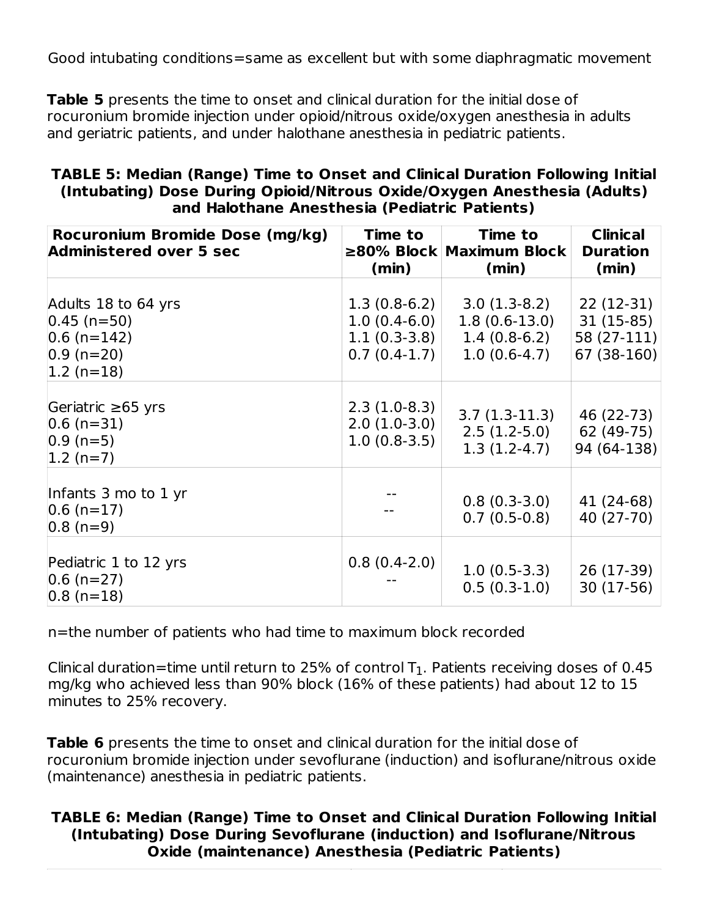Good intubating conditions=same as excellent but with some diaphragmatic movement

**Table 5** presents the time to onset and clinical duration for the initial dose of rocuronium bromide injection under opioid/nitrous oxide/oxygen anesthesia in adults and geriatric patients, and under halothane anesthesia in pediatric patients.

| TABLE 5: Median (Range) Time to Onset and Clinical Duration Following Initial |
|-------------------------------------------------------------------------------|
| (Intubating) Dose During Opioid/Nitrous Oxide/Oxygen Anesthesia (Adults)      |
| and Halothane Anesthesia (Pediatric Patients)                                 |

| Rocuronium Bromide Dose (mg/kg)<br><b>Administered over 5 sec</b>                           | Time to<br>$\geq$ 80% Block<br>(min)                                 | <b>Time to</b><br>Maximum Block<br>(min)                              | <b>Clinical</b><br><b>Duration</b><br>(min)            |
|---------------------------------------------------------------------------------------------|----------------------------------------------------------------------|-----------------------------------------------------------------------|--------------------------------------------------------|
| Adults 18 to 64 yrs<br>$ 0.45 (n=50)$<br>$ 0.6$ (n=142)<br>$ 0.9 (n=20) $<br>$ 1.2 (n=18) $ | $1.3(0.8-6.2)$<br>$1.0(0.4-6.0)$<br>$1.1(0.3-3.8)$<br>$0.7(0.4-1.7)$ | $3.0(1.3-8.2)$<br>$1.8(0.6-13.0)$<br>$1.4(0.8-6.2)$<br>$1.0(0.6-4.7)$ | 22 (12-31)<br>31 (15-85)<br>58 (27-111)<br>67 (38-160) |
| Geriatric $\geq 65$ yrs<br>$ 0.6$ (n=31)<br>$ 0.9 (n=5) $<br>$ 1.2 (n=7) $                  | $2.3(1.0-8.3)$<br>$2.0(1.0-3.0)$<br>$1.0(0.8-3.5)$                   | $3.7(1.3-11.3)$<br>$2.5(1.2-5.0)$<br>$1.3(1.2-4.7)$                   | 46 (22-73)<br>62 (49-75)<br>94 (64-138)                |
| Infants 3 mo to 1 yr<br>$ 0.6$ (n=17)<br>$ 0.8(n=9) $                                       |                                                                      | $0.8(0.3-3.0)$<br>$0.7(0.5-0.8)$                                      | 41 (24-68)<br>40 (27-70)                               |
| Pediatric 1 to 12 yrs<br>$ 0.6$ (n=27)<br>$ 0.8$ (n=18)                                     | $0.8(0.4-2.0)$                                                       | $1.0(0.5-3.3)$<br>$0.5(0.3-1.0)$                                      | 26 (17-39)<br>30 (17-56)                               |

n=the number of patients who had time to maximum block recorded

Clinical duration=time until return to 25% of control T $_{1}$ . Patients receiving doses of 0.45 mg/kg who achieved less than 90% block (16% of these patients) had about 12 to 15 minutes to 25% recovery.

**Table 6** presents the time to onset and clinical duration for the initial dose of rocuronium bromide injection under sevoflurane (induction) and isoflurane/nitrous oxide (maintenance) anesthesia in pediatric patients.

### **TABLE 6: Median (Range) Time to Onset and Clinical Duration Following Initial (Intubating) Dose During Sevoflurane (induction) and Isoflurane/Nitrous Oxide (maintenance) Anesthesia (Pediatric Patients)**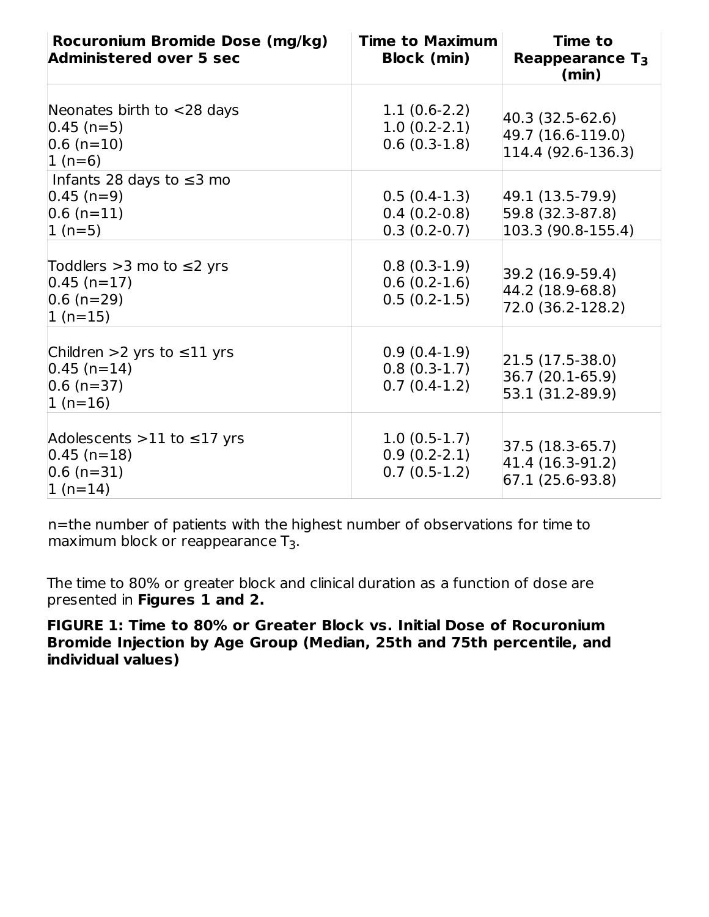| Rocuronium Bromide Dose (mg/kg)<br><b>Administered over 5 sec</b>                      | <b>Time to Maximum</b><br><b>Block (min)</b>       | <b>Time to</b><br>Reappearance $T_3$<br>(min)               |
|----------------------------------------------------------------------------------------|----------------------------------------------------|-------------------------------------------------------------|
| Neonates birth to $<$ 28 days<br>$ 0.45 (n=5) $<br>$ 0.6$ (n=10)<br>$1(n=6)$           | $1.1(0.6-2.2)$<br>$1.0(0.2-2.1)$<br>$0.6(0.3-1.8)$ | 40.3 (32.5-62.6)<br>49.7 (16.6-119.0)<br>114.4 (92.6-136.3) |
| Infants 28 days to $\leq$ 3 mo<br>$ 0.45 (n=9) $<br>$ 0.6$ (n=11)<br>$1(n=5)$          | $0.5(0.4-1.3)$<br>$0.4(0.2-0.8)$<br>$0.3(0.2-0.7)$ | 49.1 (13.5-79.9)<br>59.8 (32.3-87.8)<br>103.3 (90.8-155.4)  |
| Toddlers $>3$ mo to $\leq$ 2 yrs<br>$ 0.45 (n=17) $<br>$ 0.6$ (n=29)<br>$1(n=15)$      | $0.8(0.3-1.9)$<br>$0.6(0.2-1.6)$<br>$0.5(0.2-1.5)$ | 39.2 (16.9-59.4)<br>44.2 (18.9-68.8)<br>72.0 (36.2-128.2)   |
| Children >2 yrs to $\leq$ 11 yrs<br>$ 0.45 (n=14) $<br>$ 0.6$ (n=37)<br>$1(n=16)$      | $0.9(0.4-1.9)$<br>$0.8(0.3-1.7)$<br>$0.7(0.4-1.2)$ | $ 21.5(17.5-38.0) $<br>36.7 (20.1-65.9)<br>53.1 (31.2-89.9) |
| Adolescents $>11$ to $\leq$ 17 yrs<br>$ 0.45 (n=18) $<br>$ 0.6$ (n=31)<br>$ 1 (n=14) $ | $1.0(0.5-1.7)$<br>$0.9(0.2-2.1)$<br>$0.7(0.5-1.2)$ | 37.5 (18.3-65.7)<br>41.4 (16.3-91.2)<br>$67.1(25.6-93.8)$   |

n=the number of patients with the highest number of observations for time to maximum block or reappearance  $T_3$ .

The time to 80% or greater block and clinical duration as a function of dose are presented in **Figures 1 and 2.**

**FIGURE 1: Time to 80% or Greater Block vs. Initial Dose of Rocuronium Bromide Injection by Age Group (Median, 25th and 75th percentile, and individual values)**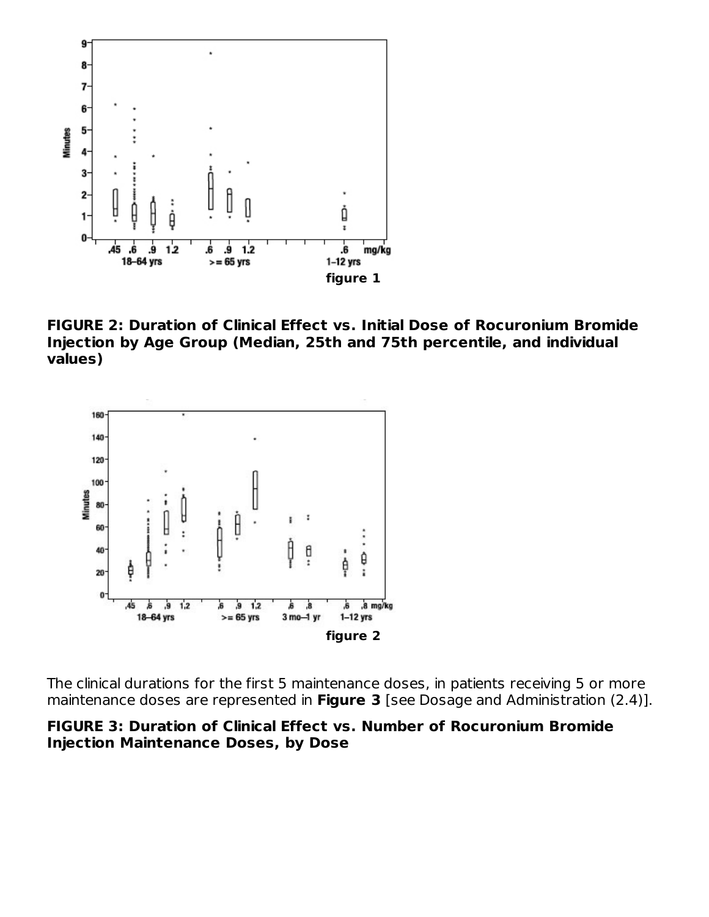

**FIGURE 2: Duration of Clinical Effect vs. Initial Dose of Rocuronium Bromide Injection by Age Group (Median, 25th and 75th percentile, and individual values)**



The clinical durations for the first 5 maintenance doses, in patients receiving 5 or more maintenance doses are represented in **Figure 3** [see Dosage and Administration (2.4)].

#### **FIGURE 3: Duration of Clinical Effect vs. Number of Rocuronium Bromide Injection Maintenance Doses, by Dose**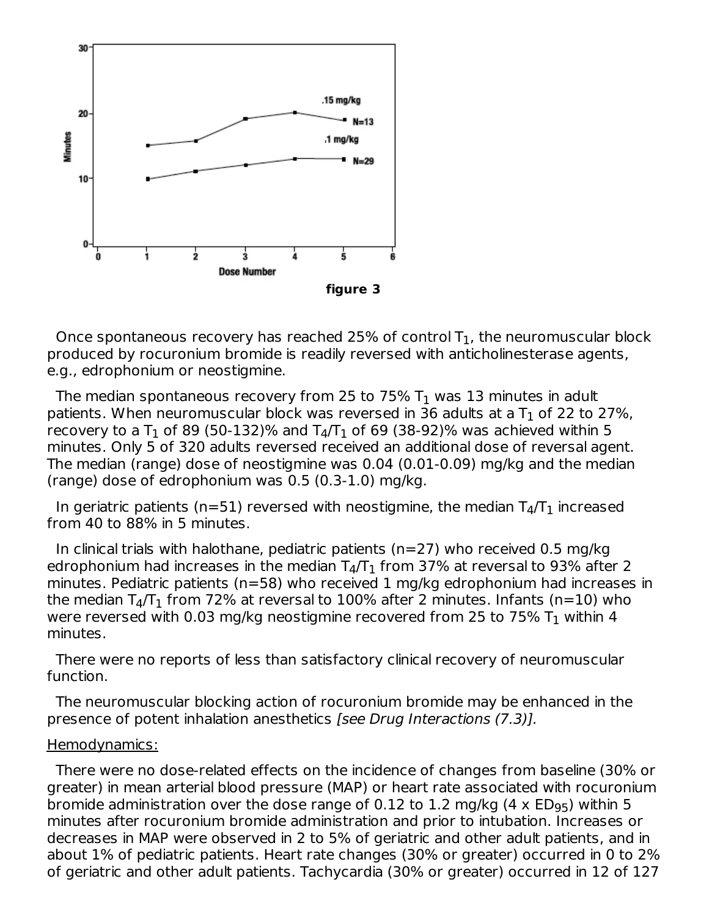

Once spontaneous recovery has reached 25% of control  ${\sf T}_1$ , the neuromuscular block produced by rocuronium bromide is readily reversed with anticholinesterase agents, e.g., edrophonium or neostigmine.

The median spontaneous recovery from 25 to 75%  ${\sf T}_1$  was 13 minutes in adult patients. When neuromuscular block was reversed in 36 adults at a T $_{\rm 1}$  of 22 to 27%, recovery to a T<sub>1</sub> of 89 (50-132)% and T<sub>4</sub>/T<sub>1</sub> of 69 (38-92)% was achieved within 5 minutes. Only 5 of 320 adults reversed received an additional dose of reversal agent. The median (range) dose of neostigmine was 0.04 (0.01-0.09) mg/kg and the median (range) dose of edrophonium was 0.5 (0.3-1.0) mg/kg.

In geriatric patients (n=51) reversed with neostigmine, the median  $T_4/T_1$  increased from 40 to 88% in 5 minutes.

In clinical trials with halothane, pediatric patients ( $n=27$ ) who received 0.5 mg/kg edrophonium had increases in the median T $_4/\rm{T_1}$  from 37% at reversal to 93% after 2 minutes. Pediatric patients (n=58) who received 1 mg/kg edrophonium had increases in the median T $_4/\mathrm{T}_1$  from 72% at reversal to 100% after 2 minutes. Infants (n=10) who were reversed with 0.03 mg/kg neostigmine recovered from 25 to 75%  ${\sf T}_1$  within 4 minutes.

There were no reports of less than satisfactory clinical recovery of neuromuscular function.

The neuromuscular blocking action of rocuronium bromide may be enhanced in the presence of potent inhalation anesthetics [see Drug Interactions (7.3)].

#### Hemodynamics:

There were no dose-related effects on the incidence of changes from baseline (30% or greater) in mean arterial blood pressure (MAP) or heart rate associated with rocuronium bromide administration over the dose range of 0.12 to 1.2 mg/kg (4  $\times$  ED $_{95}$ ) within 5 minutes after rocuronium bromide administration and prior to intubation. Increases or decreases in MAP were observed in 2 to 5% of geriatric and other adult patients, and in about 1% of pediatric patients. Heart rate changes (30% or greater) occurred in 0 to 2% of geriatric and other adult patients. Tachycardia (30% or greater) occurred in 12 of 127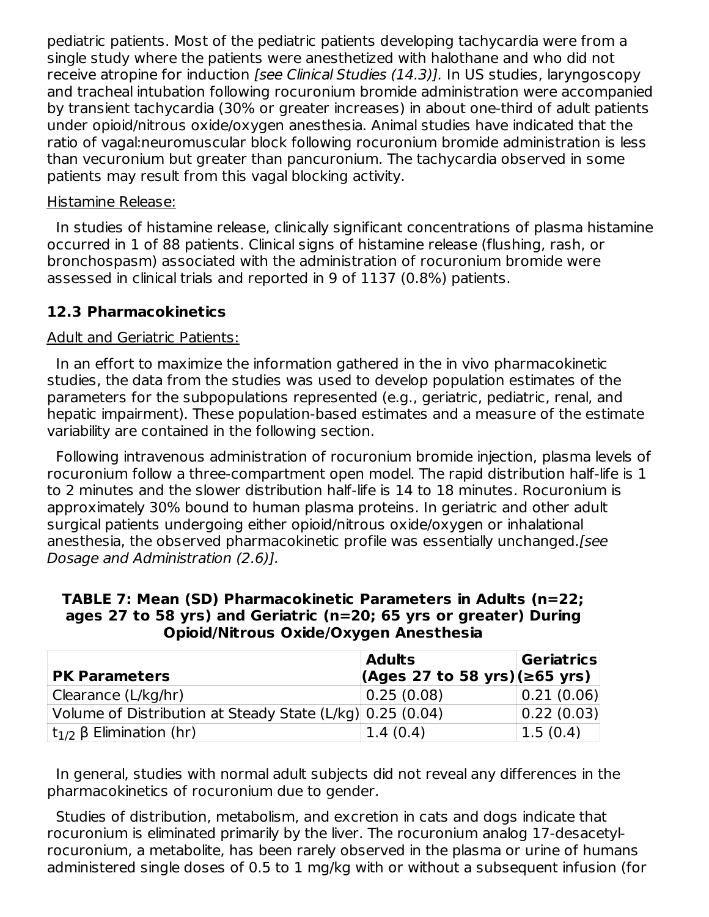pediatric patients. Most of the pediatric patients developing tachycardia were from a single study where the patients were anesthetized with halothane and who did not receive atropine for induction *[see Clinical Studies (14.3)]*. In US studies, laryngoscopy and tracheal intubation following rocuronium bromide administration were accompanied by transient tachycardia (30% or greater increases) in about one-third of adult patients under opioid/nitrous oxide/oxygen anesthesia. Animal studies have indicated that the ratio of vagal:neuromuscular block following rocuronium bromide administration is less than vecuronium but greater than pancuronium. The tachycardia observed in some patients may result from this vagal blocking activity.

#### Histamine Release:

In studies of histamine release, clinically significant concentrations of plasma histamine occurred in 1 of 88 patients. Clinical signs of histamine release (flushing, rash, or bronchospasm) associated with the administration of rocuronium bromide were assessed in clinical trials and reported in 9 of 1137 (0.8%) patients.

#### **12.3 Pharmacokinetics**

#### Adult and Geriatric Patients:

In an effort to maximize the information gathered in the in vivo pharmacokinetic studies, the data from the studies was used to develop population estimates of the parameters for the subpopulations represented (e.g., geriatric, pediatric, renal, and hepatic impairment). These population-based estimates and a measure of the estimate variability are contained in the following section.

Following intravenous administration of rocuronium bromide injection, plasma levels of rocuronium follow a three-compartment open model. The rapid distribution half-life is 1 to 2 minutes and the slower distribution half-life is 14 to 18 minutes. Rocuronium is approximately 30% bound to human plasma proteins. In geriatric and other adult surgical patients undergoing either opioid/nitrous oxide/oxygen or inhalational anesthesia, the observed pharmacokinetic profile was essentially unchanged.[see Dosage and Administration (2.6)].

**TABLE 7: Mean (SD) Pharmacokinetic Parameters in Adults (n=22; ages 27 to 58 yrs) and Geriatric (n=20; 65 yrs or greater) During Opioid/Nitrous Oxide/Oxygen Anesthesia**

|                                                           | <b>Adults</b>                     | Geriatrics |
|-----------------------------------------------------------|-----------------------------------|------------|
| <b>PK Parameters</b>                                      | $(Ages 27 to 58 yrs)(\ge 65 yrs)$ |            |
| Clearance (L/kg/hr)                                       | 0.25(0.08)                        | 0.21(0.06) |
| Volume of Distribution at Steady State (L/kg) 0.25 (0.04) |                                   | 0.22(0.03) |
| It <sub>1/2</sub> β Elimination (hr)                      | 1.4(0.4)                          | 1.5(0.4)   |

In general, studies with normal adult subjects did not reveal any differences in the pharmacokinetics of rocuronium due to gender.

Studies of distribution, metabolism, and excretion in cats and dogs indicate that rocuronium is eliminated primarily by the liver. The rocuronium analog 17-desacetylrocuronium, a metabolite, has been rarely observed in the plasma or urine of humans administered single doses of 0.5 to 1 mg/kg with or without a subsequent infusion (for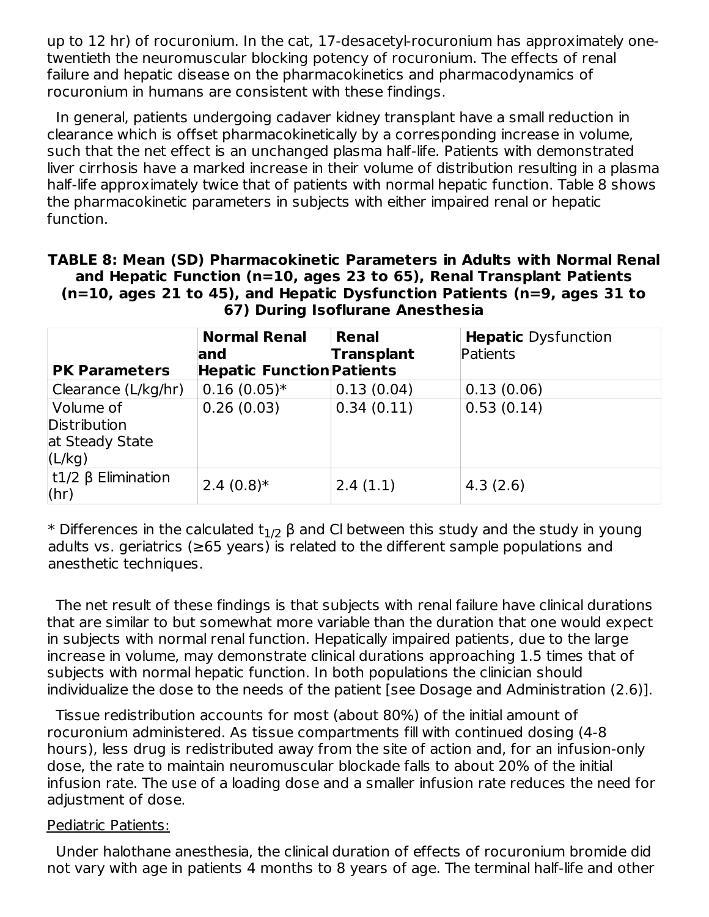up to 12 hr) of rocuronium. In the cat, 17-desacetyl-rocuronium has approximately onetwentieth the neuromuscular blocking potency of rocuronium. The effects of renal failure and hepatic disease on the pharmacokinetics and pharmacodynamics of rocuronium in humans are consistent with these findings.

In general, patients undergoing cadaver kidney transplant have a small reduction in clearance which is offset pharmacokinetically by a corresponding increase in volume, such that the net effect is an unchanged plasma half-life. Patients with demonstrated liver cirrhosis have a marked increase in their volume of distribution resulting in a plasma half-life approximately twice that of patients with normal hepatic function. Table 8 shows the pharmacokinetic parameters in subjects with either impaired renal or hepatic function.

| TABLE 8: Mean (SD) Pharmacokinetic Parameters in Adults with Normal Renal      |
|--------------------------------------------------------------------------------|
| and Hepatic Function (n=10, ages 23 to 65), Renal Transplant Patients          |
| $(n=10,$ ages 21 to 45), and Hepatic Dysfunction Patients ( $n=9$ , ages 31 to |
| 67) During Isoflurane Anesthesia                                               |

|                            | <b>Normal Renal</b>                  | <b>Hepatic</b> Dysfunction<br>Renal |            |  |
|----------------------------|--------------------------------------|-------------------------------------|------------|--|
|                            | <b>Transplant</b><br>Patients<br>and |                                     |            |  |
| <b>PK Parameters</b>       | <b>Hepatic Function Patients</b>     |                                     |            |  |
| Clearance (L/kg/hr)        | $0.16(0.05)*$                        | 0.13(0.04)                          | 0.13(0.06) |  |
| Volume of                  | 0.26(0.03)                           | 0.34(0.11)                          | 0.53(0.14) |  |
| Distribution               |                                      |                                     |            |  |
| at Steady State            |                                      |                                     |            |  |
| (L/kg)                     |                                      |                                     |            |  |
| $t1/2$ $\beta$ Elimination | $2.4(0.8)*$                          | 2.4(1.1)                            | 4.3(2.6)   |  |
| (hr)                       |                                      |                                     |            |  |

\* Differences in the calculated t $_{1/2}$  β and Cl between this study and the study in young adults vs. geriatrics (≥65 years) is related to the different sample populations and anesthetic techniques.

The net result of these findings is that subjects with renal failure have clinical durations that are similar to but somewhat more variable than the duration that one would expect in subjects with normal renal function. Hepatically impaired patients, due to the large increase in volume, may demonstrate clinical durations approaching 1.5 times that of subjects with normal hepatic function. In both populations the clinician should individualize the dose to the needs of the patient [see Dosage and Administration (2.6)].

Tissue redistribution accounts for most (about 80%) of the initial amount of rocuronium administered. As tissue compartments fill with continued dosing (4-8 hours), less drug is redistributed away from the site of action and, for an infusion-only dose, the rate to maintain neuromuscular blockade falls to about 20% of the initial infusion rate. The use of a loading dose and a smaller infusion rate reduces the need for adjustment of dose.

#### Pediatric Patients:

Under halothane anesthesia, the clinical duration of effects of rocuronium bromide did not vary with age in patients 4 months to 8 years of age. The terminal half-life and other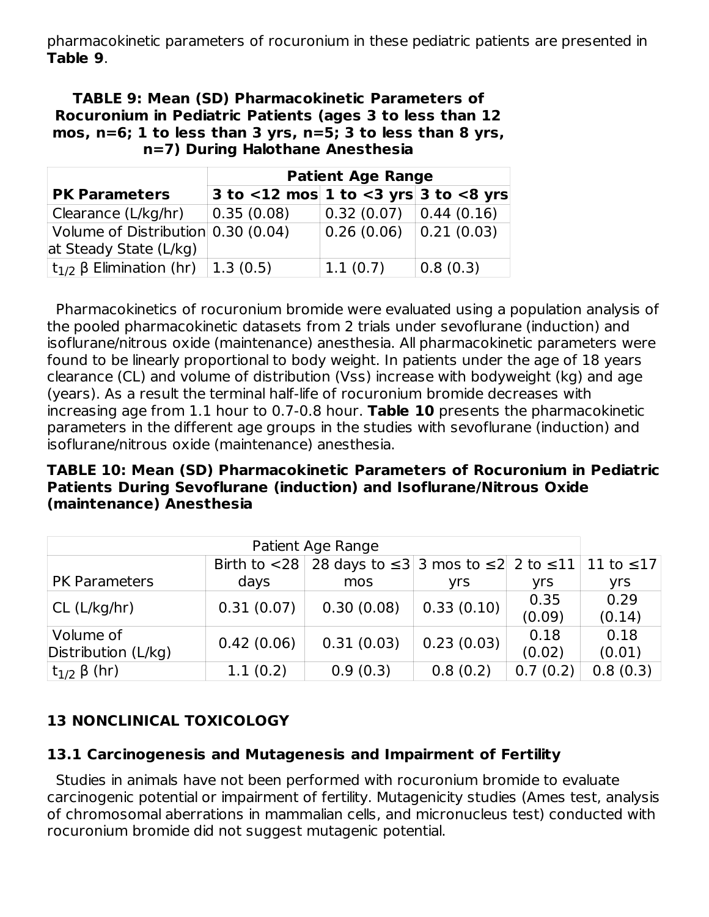pharmacokinetic parameters of rocuronium in these pediatric patients are presented in **Table 9**.

#### **TABLE 9: Mean (SD) Pharmacokinetic Parameters of Rocuronium in Pediatric Patients (ages 3 to less than 12 mos, n=6; 1 to less than 3 yrs, n=5; 3 to less than 8 yrs, n=7) During Halothane Anesthesia**

|                                            | <b>Patient Age Range</b>                      |                                                   |          |  |  |
|--------------------------------------------|-----------------------------------------------|---------------------------------------------------|----------|--|--|
| <b>PK Parameters</b>                       | 3 to $<$ 12 mos 1 to $<$ 3 yrs 3 to $<$ 8 yrs |                                                   |          |  |  |
| Clearance (L/kg/hr)                        | 0.35(0.08)                                    | $\vert 0.32 \vert (0.07) \vert 0.44 \vert (0.16)$ |          |  |  |
| Volume of Distribution 0.30 (0.04)         |                                               | 0.26(0.06) 0.21(0.03)                             |          |  |  |
| at Steady State (L/kg)                     |                                               |                                                   |          |  |  |
| $ t_{1/2}$ β Elimination (hr) $ 1.3$ (0.5) |                                               | 1.1(0.7)                                          | 0.8(0.3) |  |  |

Pharmacokinetics of rocuronium bromide were evaluated using a population analysis of the pooled pharmacokinetic datasets from 2 trials under sevoflurane (induction) and isoflurane/nitrous oxide (maintenance) anesthesia. All pharmacokinetic parameters were found to be linearly proportional to body weight. In patients under the age of 18 years clearance (CL) and volume of distribution (Vss) increase with bodyweight (kg) and age (years). As a result the terminal half-life of rocuronium bromide decreases with increasing age from 1.1 hour to 0.7-0.8 hour. **Table 10** presents the pharmacokinetic parameters in the different age groups in the studies with sevoflurane (induction) and isoflurane/nitrous oxide (maintenance) anesthesia.

### **TABLE 10: Mean (SD) Pharmacokinetic Parameters of Rocuronium in Pediatric Patients During Sevoflurane (induction) and Isoflurane/Nitrous Oxide (maintenance) Anesthesia**

| Patient Age Range                |            |                                                                                           |            |                |                |
|----------------------------------|------------|-------------------------------------------------------------------------------------------|------------|----------------|----------------|
|                                  |            | Birth to <28   28 days to $\leq$ 3   3 mos to $\leq$ 2   2 to $\leq$ 11   11 to $\leq$ 17 |            |                |                |
| <b>PK Parameters</b>             | days       | mos                                                                                       | yrs        | yrs            | yrs            |
| CL (L/kg/hr)                     | 0.31(0.07) | 0.30(0.08)                                                                                | 0.33(0.10) | 0.35<br>(0.09) | 0.29<br>(0.14) |
| Volume of<br>Distribution (L/kg) | 0.42(0.06) | 0.31(0.03)                                                                                | 0.23(0.03) | 0.18<br>(0.02) | 0.18<br>(0.01) |
| $t_{1/2}$ β (hr)                 | 1.1(0.2)   | 0.9(0.3)                                                                                  | 0.8(0.2)   | 0.7(0.2)       | 0.8(0.3)       |

# **13 NONCLINICAL TOXICOLOGY**

### **13.1 Carcinogenesis and Mutagenesis and Impairment of Fertility**

Studies in animals have not been performed with rocuronium bromide to evaluate carcinogenic potential or impairment of fertility. Mutagenicity studies (Ames test, analysis of chromosomal aberrations in mammalian cells, and micronucleus test) conducted with rocuronium bromide did not suggest mutagenic potential.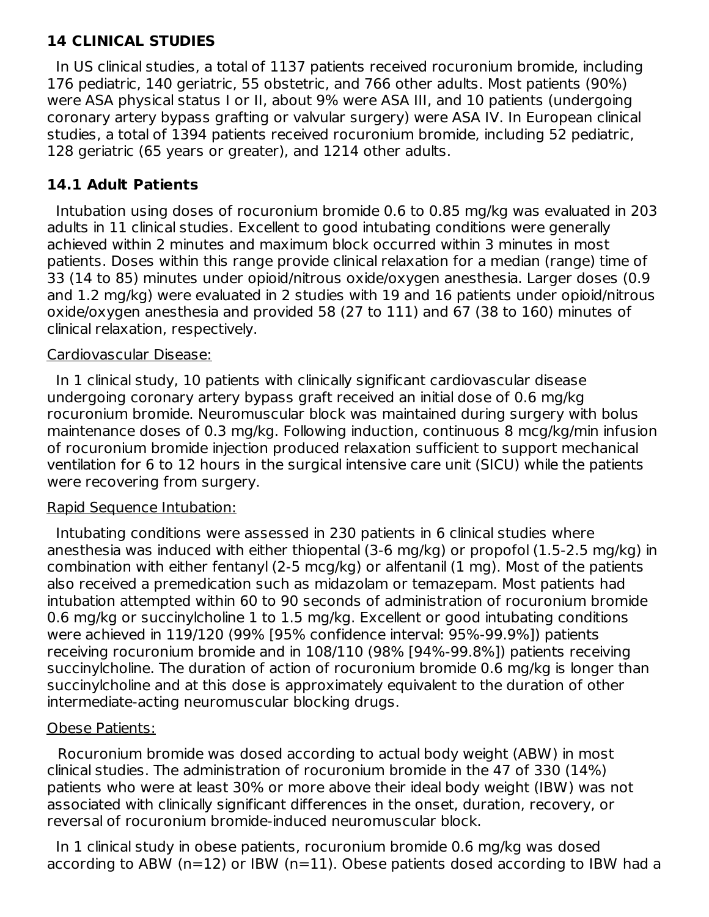### **14 CLINICAL STUDIES**

In US clinical studies, a total of 1137 patients received rocuronium bromide, including 176 pediatric, 140 geriatric, 55 obstetric, and 766 other adults. Most patients (90%) were ASA physical status I or II, about 9% were ASA III, and 10 patients (undergoing coronary artery bypass grafting or valvular surgery) were ASA IV. In European clinical studies, a total of 1394 patients received rocuronium bromide, including 52 pediatric, 128 geriatric (65 years or greater), and 1214 other adults.

### **14.1 Adult Patients**

Intubation using doses of rocuronium bromide 0.6 to 0.85 mg/kg was evaluated in 203 adults in 11 clinical studies. Excellent to good intubating conditions were generally achieved within 2 minutes and maximum block occurred within 3 minutes in most patients. Doses within this range provide clinical relaxation for a median (range) time of 33 (14 to 85) minutes under opioid/nitrous oxide/oxygen anesthesia. Larger doses (0.9 and 1.2 mg/kg) were evaluated in 2 studies with 19 and 16 patients under opioid/nitrous oxide/oxygen anesthesia and provided 58 (27 to 111) and 67 (38 to 160) minutes of clinical relaxation, respectively.

#### Cardiovascular Disease:

In 1 clinical study, 10 patients with clinically significant cardiovascular disease undergoing coronary artery bypass graft received an initial dose of 0.6 mg/kg rocuronium bromide. Neuromuscular block was maintained during surgery with bolus maintenance doses of 0.3 mg/kg. Following induction, continuous 8 mcg/kg/min infusion of rocuronium bromide injection produced relaxation sufficient to support mechanical ventilation for 6 to 12 hours in the surgical intensive care unit (SICU) while the patients were recovering from surgery.

#### Rapid Sequence Intubation:

Intubating conditions were assessed in 230 patients in 6 clinical studies where anesthesia was induced with either thiopental (3-6 mg/kg) or propofol (1.5-2.5 mg/kg) in combination with either fentanyl (2-5 mcg/kg) or alfentanil (1 mg). Most of the patients also received a premedication such as midazolam or temazepam. Most patients had intubation attempted within 60 to 90 seconds of administration of rocuronium bromide 0.6 mg/kg or succinylcholine 1 to 1.5 mg/kg. Excellent or good intubating conditions were achieved in 119/120 (99% [95% confidence interval: 95%-99.9%]) patients receiving rocuronium bromide and in 108/110 (98% [94%-99.8%]) patients receiving succinylcholine. The duration of action of rocuronium bromide 0.6 mg/kg is longer than succinylcholine and at this dose is approximately equivalent to the duration of other intermediate-acting neuromuscular blocking drugs.

### Obese Patients:

Rocuronium bromide was dosed according to actual body weight (ABW) in most clinical studies. The administration of rocuronium bromide in the 47 of 330 (14%) patients who were at least 30% or more above their ideal body weight (IBW) was not associated with clinically significant differences in the onset, duration, recovery, or reversal of rocuronium bromide-induced neuromuscular block.

In 1 clinical study in obese patients, rocuronium bromide 0.6 mg/kg was dosed according to ABW (n=12) or IBW (n=11). Obese patients dosed according to IBW had a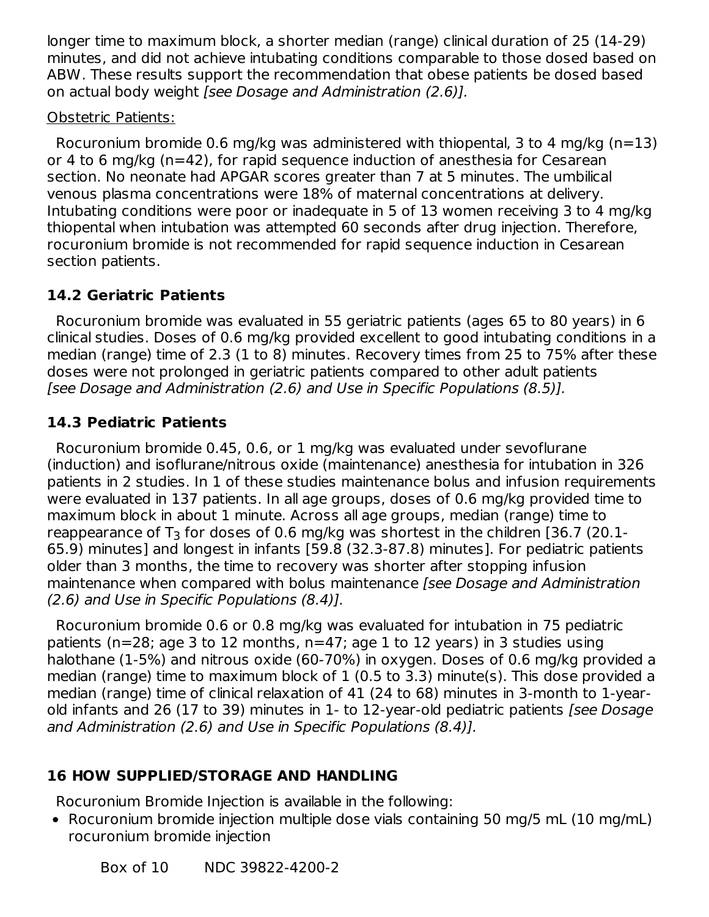longer time to maximum block, a shorter median (range) clinical duration of 25 (14-29) minutes, and did not achieve intubating conditions comparable to those dosed based on ABW. These results support the recommendation that obese patients be dosed based on actual body weight [see Dosage and Administration (2.6)].

### Obstetric Patients:

Rocuronium bromide 0.6 mg/kg was administered with thiopental, 3 to 4 mg/kg (n=13) or 4 to 6 mg/kg (n=42), for rapid sequence induction of anesthesia for Cesarean section. No neonate had APGAR scores greater than 7 at 5 minutes. The umbilical venous plasma concentrations were 18% of maternal concentrations at delivery. Intubating conditions were poor or inadequate in 5 of 13 women receiving 3 to 4 mg/kg thiopental when intubation was attempted 60 seconds after drug injection. Therefore, rocuronium bromide is not recommended for rapid sequence induction in Cesarean section patients.

# **14.2 Geriatric Patients**

Rocuronium bromide was evaluated in 55 geriatric patients (ages 65 to 80 years) in 6 clinical studies. Doses of 0.6 mg/kg provided excellent to good intubating conditions in a median (range) time of 2.3 (1 to 8) minutes. Recovery times from 25 to 75% after these doses were not prolonged in geriatric patients compared to other adult patients [see Dosage and Administration (2.6) and Use in Specific Populations (8.5)].

# **14.3 Pediatric Patients**

Rocuronium bromide 0.45, 0.6, or 1 mg/kg was evaluated under sevoflurane (induction) and isoflurane/nitrous oxide (maintenance) anesthesia for intubation in 326 patients in 2 studies. In 1 of these studies maintenance bolus and infusion requirements were evaluated in 137 patients. In all age groups, doses of 0.6 mg/kg provided time to maximum block in about 1 minute. Across all age groups, median (range) time to reappearance of T $_3$  for doses of 0.6 mg/kg was shortest in the children [36.7 (20.1-65.9) minutes] and longest in infants [59.8 (32.3-87.8) minutes]. For pediatric patients older than 3 months, the time to recovery was shorter after stopping infusion maintenance when compared with bolus maintenance [see Dosage and Administration (2.6) and Use in Specific Populations (8.4)].

Rocuronium bromide 0.6 or 0.8 mg/kg was evaluated for intubation in 75 pediatric patients (n=28; age 3 to 12 months, n=47; age 1 to 12 years) in 3 studies using halothane (1-5%) and nitrous oxide (60-70%) in oxygen. Doses of 0.6 mg/kg provided a median (range) time to maximum block of 1 (0.5 to 3.3) minute(s). This dose provided a median (range) time of clinical relaxation of 41 (24 to 68) minutes in 3-month to 1-yearold infants and 26 (17 to 39) minutes in 1- to 12-year-old pediatric patients [see Dosage and Administration (2.6) and Use in Specific Populations (8.4)].

# **16 HOW SUPPLIED/STORAGE AND HANDLING**

Rocuronium Bromide Injection is available in the following:

• Rocuronium bromide injection multiple dose vials containing 50 mg/5 mL (10 mg/mL) rocuronium bromide injection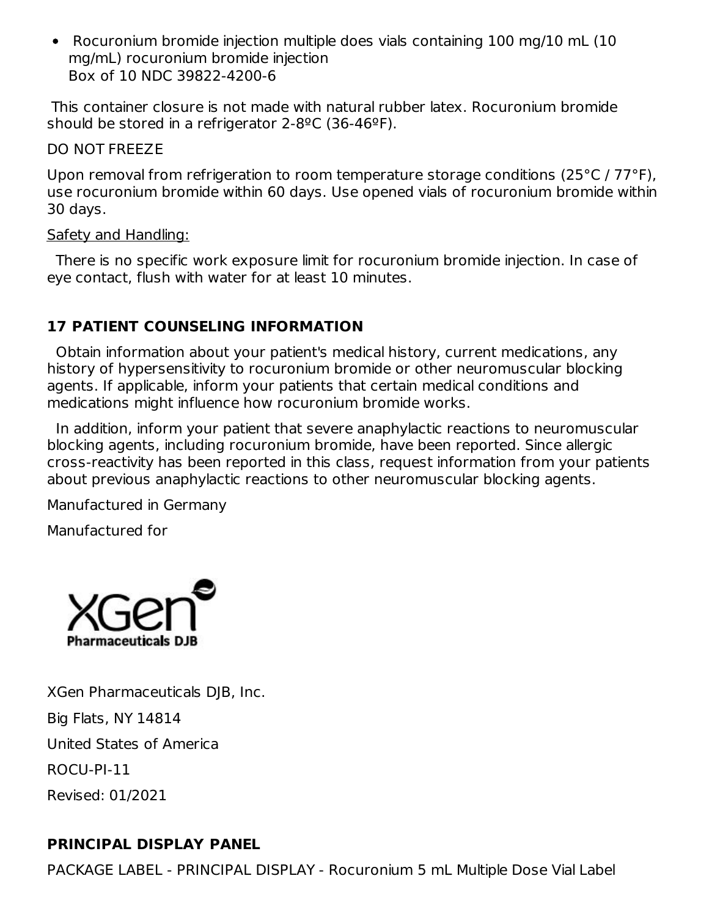• Rocuronium bromide injection multiple does vials containing 100 mg/10 mL (10) mg/mL) rocuronium bromide injection Box of 10 NDC 39822-4200-6

This container closure is not made with natural rubber latex. Rocuronium bromide should be stored in a refrigerator 2-8ºC (36-46ºF).

DO NOT FREEZE

Upon removal from refrigeration to room temperature storage conditions (25°C / 77°F), use rocuronium bromide within 60 days. Use opened vials of rocuronium bromide within 30 days.

### Safety and Handling:

There is no specific work exposure limit for rocuronium bromide injection. In case of eye contact, flush with water for at least 10 minutes.

# **17 PATIENT COUNSELING INFORMATION**

Obtain information about your patient's medical history, current medications, any history of hypersensitivity to rocuronium bromide or other neuromuscular blocking agents. If applicable, inform your patients that certain medical conditions and medications might influence how rocuronium bromide works.

In addition, inform your patient that severe anaphylactic reactions to neuromuscular blocking agents, including rocuronium bromide, have been reported. Since allergic cross-reactivity has been reported in this class, request information from your patients about previous anaphylactic reactions to other neuromuscular blocking agents.

Manufactured in Germany

Manufactured for



XGen Pharmaceuticals DJB, Inc. Big Flats, NY 14814 United States of America ROCU-PI-11 Revised: 01/2021

# **PRINCIPAL DISPLAY PANEL**

PACKAGE LABEL - PRINCIPAL DISPLAY - Rocuronium 5 mL Multiple Dose Vial Label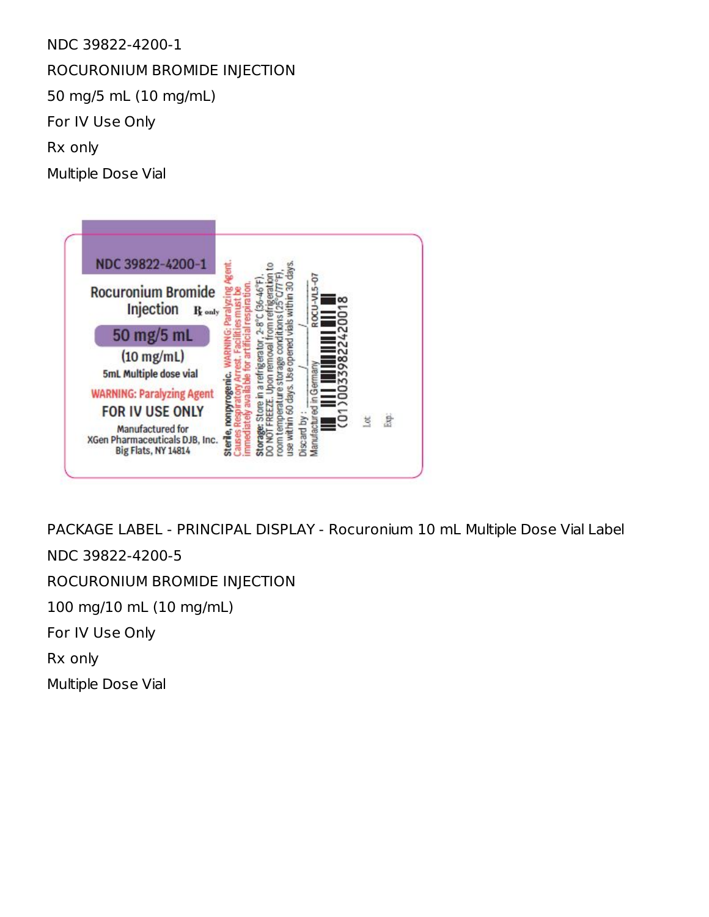NDC 39822-4200-1 ROCURONIUM BROMIDE INJECTION 50 mg/5 mL (10 mg/mL) For IV Use Only Rx only Multiple Dose Vial



PACKAGE LABEL - PRINCIPAL DISPLAY - Rocuronium 10 mL Multiple Dose Vial Label NDC 39822-4200-5 ROCURONIUM BROMIDE INJECTION 100 mg/10 mL (10 mg/mL) For IV Use Only

Rx only

Multiple Dose Vial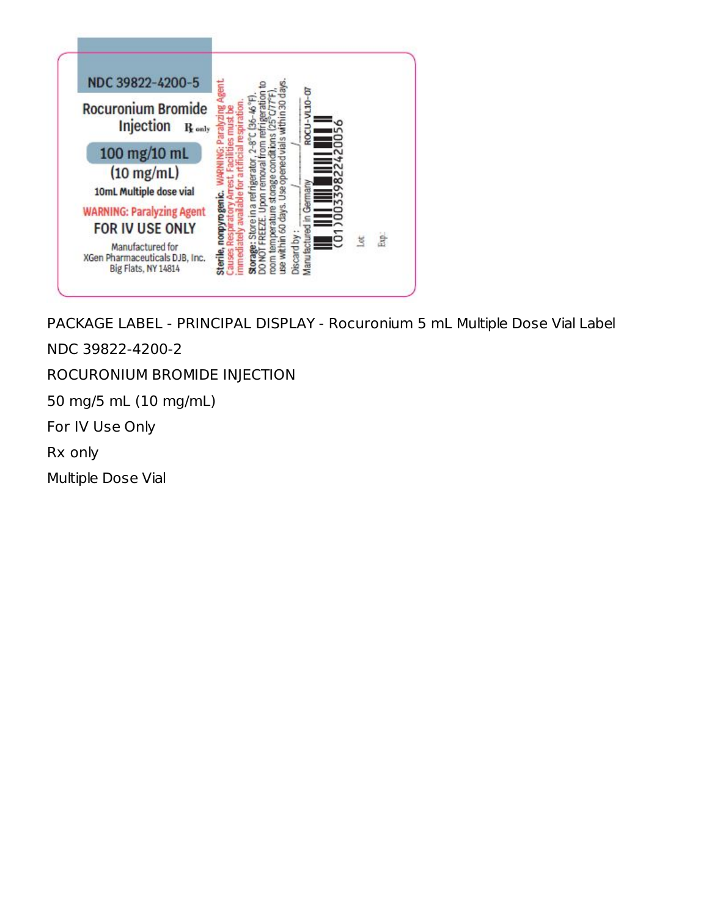

PACKAGE LABEL - PRINCIPAL DISPLAY - Rocuronium 5 mL Multiple Dose Vial Label

NDC 39822-4200-2

ROCURONIUM BROMIDE INJECTION

50 mg/5 mL (10 mg/mL)

For IV Use Only

Rx only

Multiple Dose Vial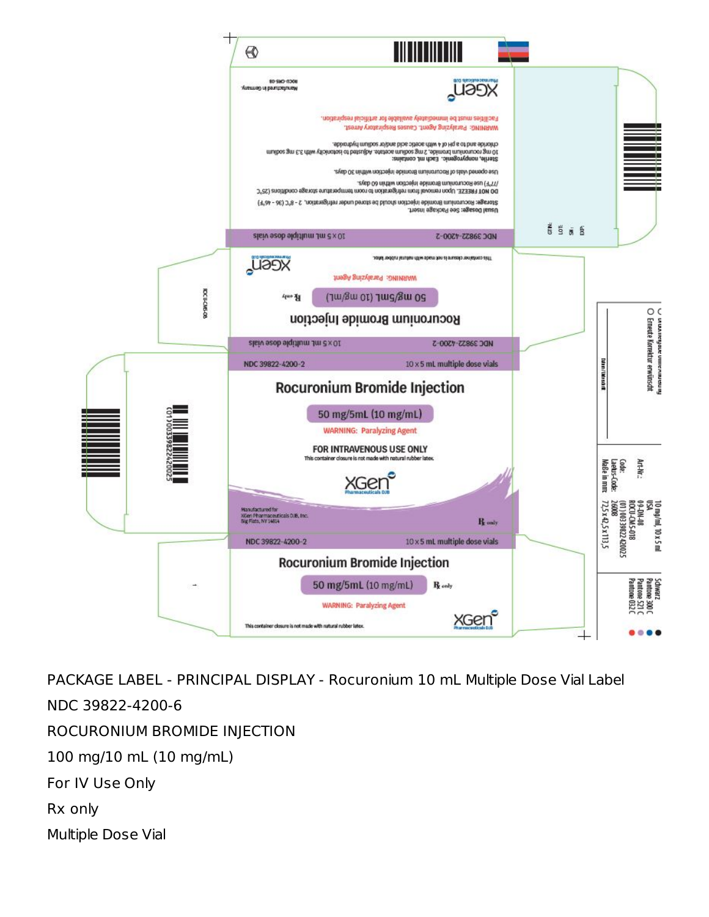

PACKAGE LABEL - PRINCIPAL DISPLAY - Rocuronium 10 mL Multiple Dose Vial Label NDC 39822-4200-6 ROCURONIUM BROMIDE INJECTION 100 mg/10 mL (10 mg/mL) For IV Use Only Rx only Multiple Dose Vial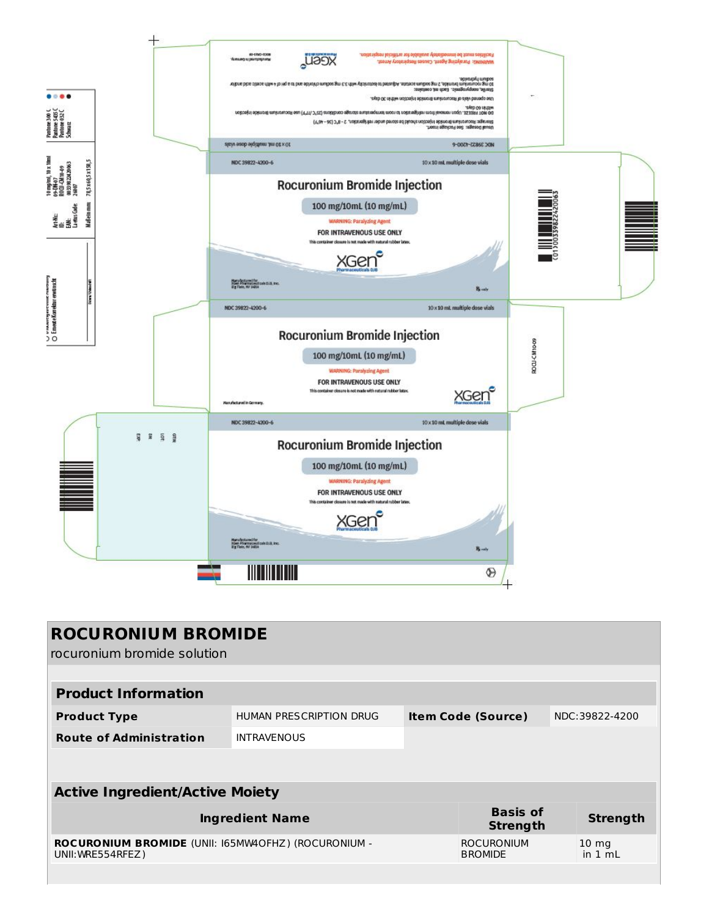

| <b>ROCURONIUM BROMIDE</b><br>rocuronium bromide solution                 |                         |                           |                                     |                |                              |  |
|--------------------------------------------------------------------------|-------------------------|---------------------------|-------------------------------------|----------------|------------------------------|--|
|                                                                          |                         |                           |                                     |                |                              |  |
| <b>Product Information</b>                                               |                         |                           |                                     |                |                              |  |
| <b>Product Type</b>                                                      | HUMAN PRESCRIPTION DRUG | <b>Item Code (Source)</b> |                                     | NDC:39822-4200 |                              |  |
| <b>Route of Administration</b>                                           | <b>INTRAVENOUS</b>      |                           |                                     |                |                              |  |
|                                                                          |                         |                           |                                     |                |                              |  |
|                                                                          |                         |                           |                                     |                |                              |  |
| <b>Active Ingredient/Active Moiety</b>                                   |                         |                           |                                     |                |                              |  |
| <b>Ingredient Name</b>                                                   |                         |                           | <b>Basis of</b><br><b>Strength</b>  |                | <b>Strength</b>              |  |
| ROCURONIUM BROMIDE (UNII: I65MW4OFHZ) (ROCURONIUM -<br>UNII: WRE554RFEZ) |                         |                           | <b>ROCURONIUM</b><br><b>BROMIDE</b> |                | $10 \text{ mg}$<br>in $1 mL$ |  |
|                                                                          |                         |                           |                                     |                |                              |  |